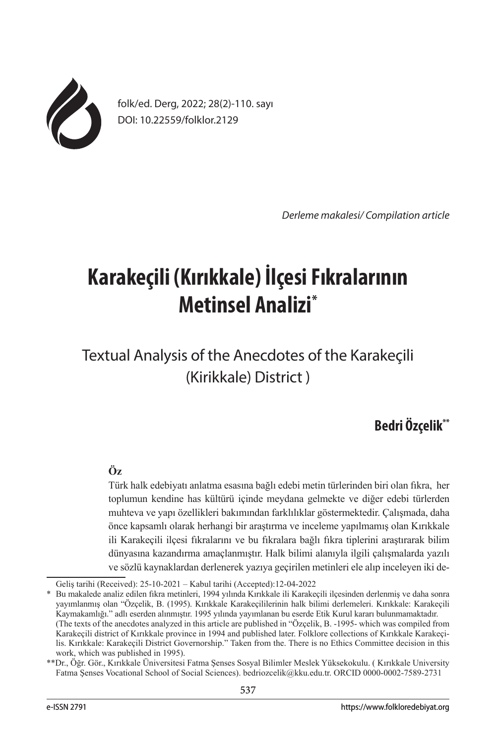

folk/ed. Derg, 2022; 28(2)-110. sayı DOI: 10.22559/folklor.2129

*Derleme makalesi/ Compilation article*

# **Karakeçili (Kırıkkale) İlçesi Fıkralarının Metinsel Analizi\***

Textual Analysis of the Anecdotes of the Karakeçili (Kirikkale) District )

# **Bedri Özçelik\*\***

## **Öz**

Türk halk edebiyatı anlatma esasına bağlı edebi metin türlerinden biri olan fıkra, her toplumun kendine has kültürü içinde meydana gelmekte ve diğer edebi türlerden muhteva ve yapı özellikleri bakımından farklılıklar göstermektedir. Çalışmada, daha önce kapsamlı olarak herhangi bir araştırma ve inceleme yapılmamış olan Kırıkkale ili Karakeçili ilçesi fıkralarını ve bu fıkralara bağlı fıkra tiplerini araştırarak bilim dünyasına kazandırma amaçlanmıştır. Halk bilimi alanıyla ilgili çalışmalarda yazılı ve sözlü kaynaklardan derlenerek yazıya geçirilen metinleri ele alıp inceleyen iki de-

\* Bu makalede analiz edilen fıkra metinleri, 1994 yılında Kırıkkale ili Karakeçili ilçesinden derlenmiş ve daha sonra yayımlanmış olan "Özçelik, B. (1995). Kırıkkale Karakeçililerinin halk bilimi derlemeleri. Kırıkkale: Karakeçili Kaymakamlığı." adlı eserden alınmıştır. 1995 yılında yayımlanan bu eserde Etik Kurul kararı bulunmamaktadır.

Geliş tarihi (Received): 25-10-2021 – Kabul tarihi (Accepted):12-04-2022

<sup>(</sup>The texts of the anecdotes analyzed in this article are published in "Özçelik, B. -1995- which was compiled from Karakeçili district of Kırıkkale province in 1994 and published later. Folklore collections of Kırıkkale Karakeçilis. Kırıkkale: Karakeçili District Governorship." Taken from the. There is no Ethics Committee decision in this work, which was published in 1995).

<sup>\*\*</sup>Dr., Öğr. Gör., Kırıkkale Üniversitesi Fatma Şenses Sosyal Bilimler Meslek Yüksekokulu. ( Kırıkkale University Fatma Şenses Vocational School of Social Sciences). bedriozcelik@kku.edu.tr. ORCID 0000-0002-7589-2731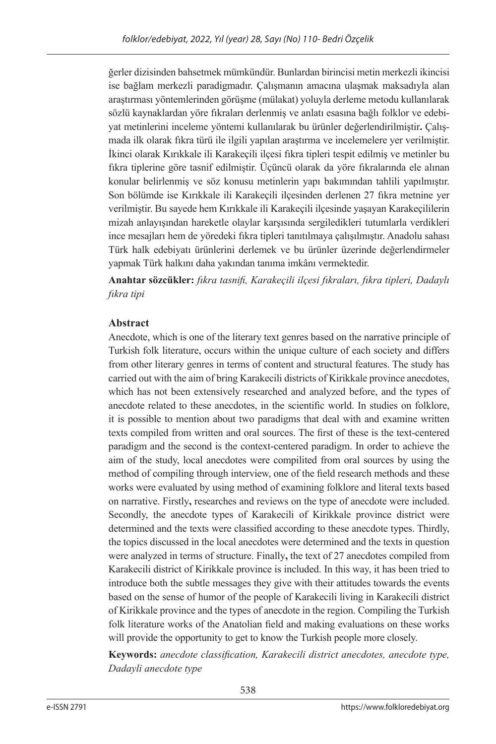ğerler dizisinden bahsetmek mümkündür. Bunlardan birincisi metin merkezli ikincisi ise bağlam merkezli paradigmadır. Çalışmanın amacına ulaşmak maksadıyla alan araştırması yöntemlerinden görüşme (mülakat) yoluyla derleme metodu kullanılarak sözlü kaynaklardan yöre fıkraları derlenmiş ve anlatı esasına bağlı folklor ve edebiyat metinlerini inceleme yöntemi kullanılarak bu ürünler değerlendirilmiştir**.** Çalışmada ilk olarak fıkra türü ile ilgili yapılan araştırma ve incelemelere yer verilmiştir. İkinci olarak Kırıkkale ili Karakeçili ilçesi fıkra tipleri tespit edilmiş ve metinler bu fıkra tiplerine göre tasnif edilmiştir. Üçüncü olarak da yöre fıkralarında ele alınan konular belirlenmiş ve söz konusu metinlerin yapı bakımından tahlili yapılmıştır. Son bölümde ise Kırıkkale ili Karakeçili ilçesinden derlenen 27 fıkra metnine yer verilmiştir. Bu sayede hem Kırıkkale ili Karakeçili ilçesinde yaşayan Karakeçililerin mizah anlayışından hareketle olaylar karşısında sergiledikleri tutumlarla verdikleri ince mesajları hem de yöredeki fıkra tipleri tanıtılmaya çalışılmıştır. Anadolu sahası Türk halk edebiyatı ürünlerini derlemek ve bu ürünler üzerinde değerlendirmeler yapmak Türk halkını daha yakından tanıma imkânı vermektedir.

**Anahtar sözcükler:** *fıkra tasnifi, Karakeçili ilçesi fıkraları, fıkra tipleri, Dadaylı fıkra tipi*

## **Abstract**

Anecdote, which is one of the literary text genres based on the narrative principle of Turkish folk literature, occurs within the unique culture of each society and differs from other literary genres in terms of content and structural features. The study has carried out with the aim of bring Karakecili districts of Kirikkale province anecdotes, which has not been extensively researched and analyzed before, and the types of anecdote related to these anecdotes, in the scientific world. In studies on folklore, it is possible to mention about two paradigms that deal with and examine written texts compiled from written and oral sources. The first of these is the text-centered paradigm and the second is the context-centered paradigm. In order to achieve the aim of the study, local anecdotes were compilited from oral sources by using the method of compiling through interview, one of the field research methods and these works were evaluated by using method of examining folklore and literal texts based on narrative. Firstly**,** researches and reviews on the type of anecdote were included. Secondly, the anecdote types of Karakecili of Kirikkale province district were determined and the texts were classified according to these anecdote types. Thirdly, the topics discussed in the local anecdotes were determined and the texts in question were analyzed in terms of structure. Finally**,** the text of 27 anecdotes compiled from Karakecili district of Kirikkale province is included. In this way, it has been tried to introduce both the subtle messages they give with their attitudes towards the events based on the sense of humor of the people of Karakecili living in Karakecili district of Kirikkale province and the types of anecdote in the region. Compiling the Turkish folk literature works of the Anatolian field and making evaluations on these works will provide the opportunity to get to know the Turkish people more closely.

**Keywords:** *anecdote classification, Karakecili district anecdotes, anecdote type, Dadayli anecdote type*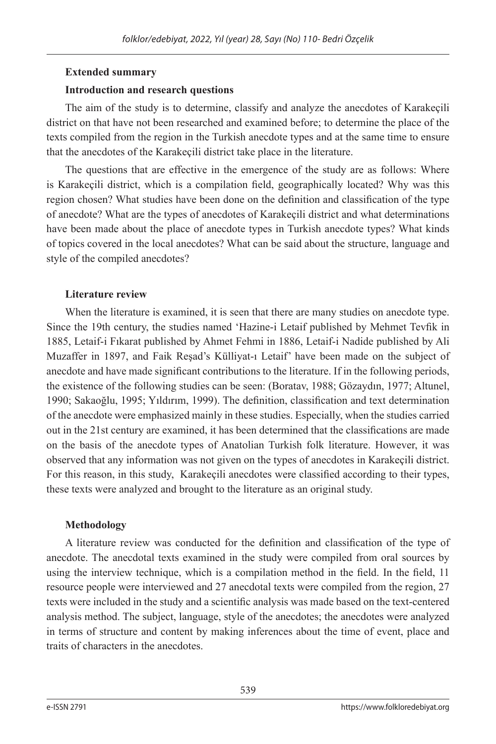## **Extended summary**

## **Introduction and research questions**

The aim of the study is to determine, classify and analyze the anecdotes of Karakeçili district on that have not been researched and examined before; to determine the place of the texts compiled from the region in the Turkish anecdote types and at the same time to ensure that the anecdotes of the Karakeçili district take place in the literature.

The questions that are effective in the emergence of the study are as follows: Where is Karakeçili district, which is a compilation field, geographically located? Why was this region chosen? What studies have been done on the definition and classification of the type of anecdote? What are the types of anecdotes of Karakeçili district and what determinations have been made about the place of anecdote types in Turkish anecdote types? What kinds of topics covered in the local anecdotes? What can be said about the structure, language and style of the compiled anecdotes?

## **Literature review**

When the literature is examined, it is seen that there are many studies on anecdote type. Since the 19th century, the studies named 'Hazine-i Letaif published by Mehmet Tevfik in 1885, Letaif-i Fıkarat published by Ahmet Fehmi in 1886, Letaif-i Nadide published by Ali Muzaffer in 1897, and Faik Reşad's Külliyat-ı Letaif' have been made on the subject of anecdote and have made significant contributions to the literature. If in the following periods, the existence of the following studies can be seen: (Boratav, 1988; Gözaydın, 1977; Altunel, 1990; Sakaoğlu, 1995; Yıldırım, 1999). The definition, classification and text determination of the anecdote were emphasized mainly in these studies. Especially, when the studies carried out in the 21st century are examined, it has been determined that the classifications are made on the basis of the anecdote types of Anatolian Turkish folk literature. However, it was observed that any information was not given on the types of anecdotes in Karakeçili district. For this reason, in this study, Karakeçili anecdotes were classified according to their types, these texts were analyzed and brought to the literature as an original study.

## **Methodology**

A literature review was conducted for the definition and classification of the type of anecdote. The anecdotal texts examined in the study were compiled from oral sources by using the interview technique, which is a compilation method in the field. In the field, 11 resource people were interviewed and 27 anecdotal texts were compiled from the region, 27 texts were included in the study and a scientific analysis was made based on the text-centered analysis method. The subject, language, style of the anecdotes; the anecdotes were analyzed in terms of structure and content by making inferences about the time of event, place and traits of characters in the anecdotes.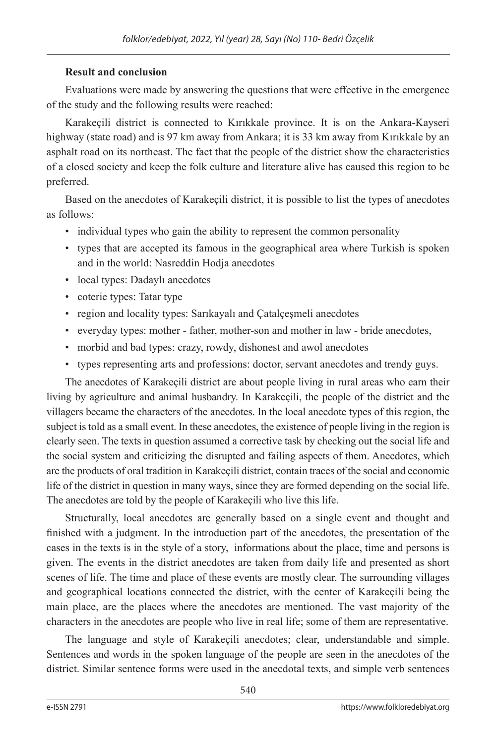#### **Result and conclusion**

Evaluations were made by answering the questions that were effective in the emergence of the study and the following results were reached:

Karakeçili district is connected to Kırıkkale province. It is on the Ankara-Kayseri highway (state road) and is 97 km away from Ankara; it is 33 km away from Kırıkkale by an asphalt road on its northeast. The fact that the people of the district show the characteristics of a closed society and keep the folk culture and literature alive has caused this region to be preferred.

Based on the anecdotes of Karakeçili district, it is possible to list the types of anecdotes as follows:

- individual types who gain the ability to represent the common personality
- types that are accepted its famous in the geographical area where Turkish is spoken and in the world: Nasreddin Hodja anecdotes
- local types: Dadaylı anecdotes
- coterie types: Tatar type
- region and locality types: Sarıkayalı and Çatalçeşmeli anecdotes
- everyday types: mother father, mother-son and mother in law bride anecdotes,
- morbid and bad types: crazy, rowdy, dishonest and awol anecdotes
- types representing arts and professions: doctor, servant anecdotes and trendy guys.

The anecdotes of Karakeçili district are about people living in rural areas who earn their living by agriculture and animal husbandry. In Karakeçili, the people of the district and the villagers became the characters of the anecdotes. In the local anecdote types of this region, the subject is told as a small event. In these anecdotes, the existence of people living in the region is clearly seen. The texts in question assumed a corrective task by checking out the social life and the social system and criticizing the disrupted and failing aspects of them. Anecdotes, which are the products of oral tradition in Karakeçili district, contain traces of the social and economic life of the district in question in many ways, since they are formed depending on the social life. The anecdotes are told by the people of Karakeçili who live this life.

Structurally, local anecdotes are generally based on a single event and thought and finished with a judgment. In the introduction part of the anecdotes, the presentation of the cases in the texts is in the style of a story, informations about the place, time and persons is given. The events in the district anecdotes are taken from daily life and presented as short scenes of life. The time and place of these events are mostly clear. The surrounding villages and geographical locations connected the district, with the center of Karakeçili being the main place, are the places where the anecdotes are mentioned. The vast majority of the characters in the anecdotes are people who live in real life; some of them are representative.

The language and style of Karakeçili anecdotes; clear, understandable and simple. Sentences and words in the spoken language of the people are seen in the anecdotes of the district. Similar sentence forms were used in the anecdotal texts, and simple verb sentences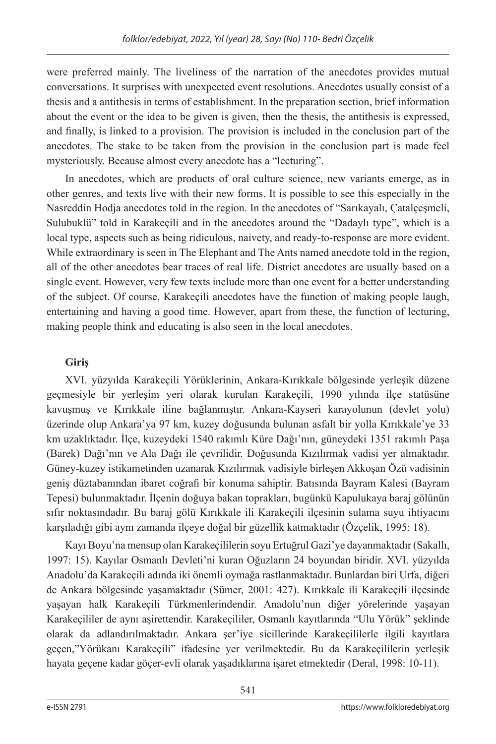were preferred mainly. The liveliness of the narration of the anecdotes provides mutual conversations. It surprises with unexpected event resolutions. Anecdotes usually consist of a thesis and a antithesis in terms of establishment. In the preparation section, brief information about the event or the idea to be given is given, then the thesis, the antithesis is expressed, and finally, is linked to a provision. The provision is included in the conclusion part of the anecdotes. The stake to be taken from the provision in the conclusion part is made feel mysteriously. Because almost every anecdote has a "lecturing".

In anecdotes, which are products of oral culture science, new variants emerge, as in other genres, and texts live with their new forms. It is possible to see this especially in the Nasreddin Hodia anecdotes told in the region. In the anecdotes of "Sarikayalı, Catalcesmeli, Sulubuklü" told in Karakeçili and in the anecdotes around the "Dadaylı type", which is a local type, aspects such as being ridiculous, naivety, and ready-to-response are more evident. While extraordinary is seen in The Elephant and The Ants named anecdote told in the region, all of the other anecdotes bear traces of real life. District anecdotes are usually based on a single event. However, very few texts include more than one event for a better understanding of the subject. Of course, Karakeçili anecdotes have the function of making people laugh, entertaining and having a good time. However, apart from these, the function of lecturing, making people think and educating is also seen in the local anecdotes.

## **Giriş**

XVI. yüzyılda Karakeçili Yörüklerinin, Ankara-Kırıkkale bölgesinde yerleşik düzene geçmesiyle bir yerleşim yeri olarak kurulan Karakeçili, 1990 yılında ilçe statüsüne kavuşmuş ve Kırıkkale iline bağlanmıştır. Ankara-Kayseri karayolunun (devlet yolu) üzerinde olup Ankara'ya 97 km, kuzey doğusunda bulunan asfalt bir yolla Kırıkkale'ye 33 km uzaklıktadır. İlçe, kuzeydeki 1540 rakımlı Küre Dağı'nın, güneydeki 1351 rakımlı Paşa (Barek) Dağı'nın ve Ala Dağı ile çevrilidir. Doğusunda Kızılırmak vadisi yer almaktadır. Güney-kuzey istikametinden uzanarak Kızılırmak vadisiyle birleşen Akkoşan Özü vadisinin geniş düztabanından ibaret coğrafi bir konuma sahiptir. Batısında Bayram Kalesi (Bayram Tepesi) bulunmaktadır. İlçenin doğuya bakan toprakları, bugünkü Kapulukaya baraj gölünün sıfır noktasındadır. Bu baraj gölü Kırıkkale ili Karakeçili ilçesinin sulama suyu ihtiyacını karşıladığı gibi aynı zamanda ilçeye doğal bir güzellik katmaktadır (Özçelik, 1995: 18).

Kayı Boyu'na mensup olan Karakeçililerin soyu Ertuğrul Gazi'ye dayanmaktadır (Sakallı, 1997: 15). Kayılar Osmanlı Devleti'ni kuran Oğuzların 24 boyundan biridir. XVI. yüzyılda Anadolu'da Karakeçili adında iki önemli oymağa rastlanmaktadır. Bunlardan biri Urfa, diğeri de Ankara bölgesinde yaşamaktadır (Sümer, 2001: 427). Kırıkkale ili Karakeçili ilçesinde yaşayan halk Karakeçili Türkmenlerindendir. Anadolu'nun diğer yörelerinde yaşayan Karakeçililer de aynı aşirettendir. Karakeçililer, Osmanlı kayıtlarında "Ulu Yörük" şeklinde olarak da adlandırılmaktadır. Ankara şer'iye sicillerinde Karakeçililerle ilgili kayıtlara geçen,"Yörükanı Karakeçili" ifadesine yer verilmektedir. Bu da Karakeçililerin yerleşik hayata geçene kadar göçer-evli olarak yaşadıklarına işaret etmektedir (Deral, 1998: 10-11).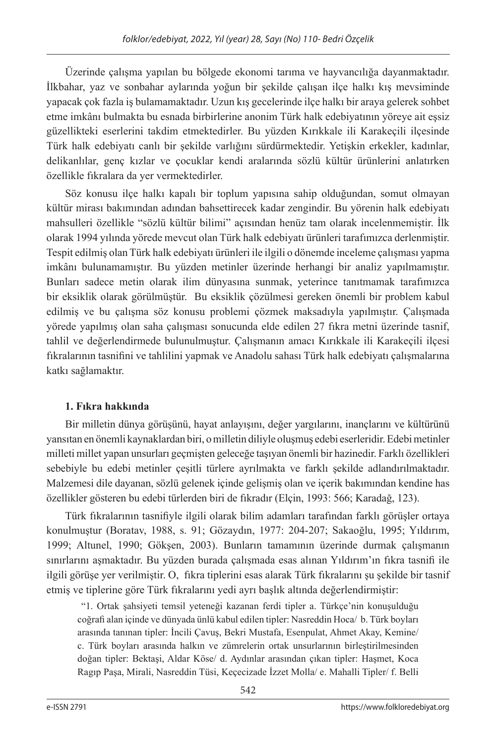Üzerinde çalışma yapılan bu bölgede ekonomi tarıma ve hayvancılığa dayanmaktadır. İlkbahar, yaz ve sonbahar aylarında yoğun bir şekilde çalışan ilçe halkı kış mevsiminde yapacak çok fazla iş bulamamaktadır. Uzun kış gecelerinde ilçe halkı bir araya gelerek sohbet etme imkânı bulmakta bu esnada birbirlerine anonim Türk halk edebiyatının yöreye ait eşsiz güzellikteki eserlerini takdim etmektedirler. Bu yüzden Kırıkkale ili Karakeçili ilçesinde Türk halk edebiyatı canlı bir şekilde varlığını sürdürmektedir. Yetişkin erkekler, kadınlar, delikanlılar, genç kızlar ve çocuklar kendi aralarında sözlü kültür ürünlerini anlatırken özellikle fıkralara da yer vermektedirler.

Söz konusu ilçe halkı kapalı bir toplum yapısına sahip olduğundan, somut olmayan kültür mirası bakımından adından bahsettirecek kadar zengindir. Bu yörenin halk edebiyatı mahsulleri özellikle "sözlü kültür bilimi" açısından henüz tam olarak incelenmemiştir. İlk olarak 1994 yılında yörede mevcut olan Türk halk edebiyatı ürünleri tarafımızca derlenmiştir. Tespit edilmiş olan Türk halk edebiyatı ürünleri ile ilgili o dönemde inceleme çalışması yapma imkânı bulunamamıştır. Bu yüzden metinler üzerinde herhangi bir analiz yapılmamıştır. Bunları sadece metin olarak ilim dünyasına sunmak, yeterince tanıtmamak tarafımızca bir eksiklik olarak görülmüştür. Bu eksiklik çözülmesi gereken önemli bir problem kabul edilmiş ve bu çalışma söz konusu problemi çözmek maksadıyla yapılmıştır. Çalışmada yörede yapılmış olan saha çalışması sonucunda elde edilen 27 fıkra metni üzerinde tasnif, tahlil ve değerlendirmede bulunulmuştur. Çalışmanın amacı Kırıkkale ili Karakeçili ilçesi fıkralarının tasnifini ve tahlilini yapmak ve Anadolu sahası Türk halk edebiyatı çalışmalarına katkı sağlamaktır.

## **1. Fıkra hakkında**

Bir milletin dünya görüşünü, hayat anlayışını, değer yargılarını, inançlarını ve kültürünü yansıtan en önemli kaynaklardan biri, o milletin diliyle oluşmuş edebi eserleridir. Edebi metinler milleti millet yapan unsurları geçmişten geleceğe taşıyan önemli bir hazinedir. Farklı özellikleri sebebiyle bu edebi metinler çeşitli türlere ayrılmakta ve farklı şekilde adlandırılmaktadır. Malzemesi dile dayanan, sözlü gelenek içinde gelişmiş olan ve içerik bakımından kendine has özellikler gösteren bu edebi türlerden biri de fıkradır (Elçin, 1993: 566; Karadağ, 123).

Türk fıkralarının tasnifiyle ilgili olarak bilim adamları tarafından farklı görüşler ortaya konulmuştur (Boratav, 1988, s. 91; Gözaydın, 1977: 204-207; Sakaoğlu, 1995; Yıldırım, 1999; Altunel, 1990; Gökşen, 2003). Bunların tamamının üzerinde durmak çalışmanın sınırlarını aşmaktadır. Bu yüzden burada çalışmada esas alınan Yıldırım'ın fıkra tasnifi ile ilgili görüşe yer verilmiştir. O,fıkra tiplerini esas alarak Türk fıkralarını şu şekilde bir tasnif etmiş ve tiplerine göre Türk fıkralarını yedi ayrı başlık altında değerlendirmiştir:

 "1. Ortak şahsiyeti temsil yeteneği kazanan ferdi tipler a. Türkçe'nin konuşulduğu coğrafi alan içinde ve dünyada ünlü kabul edilen tipler: Nasreddin Hoca/ b. Türk boyları arasında tanınan tipler: İncili Çavuş, Bekri Mustafa, Esenpulat, Ahmet Akay, Kemine/ c. Türk boyları arasında halkın ve zümrelerin ortak unsurlarının birleştirilmesinden doğan tipler: Bektaşi, Aldar Köse/ d. Aydınlar arasından çıkan tipler: Haşmet, Koca Ragıp Paşa, Mirali, Nasreddin Tüsi, Keçecizade İzzet Molla/ e. Mahalli Tipler/ f. Belli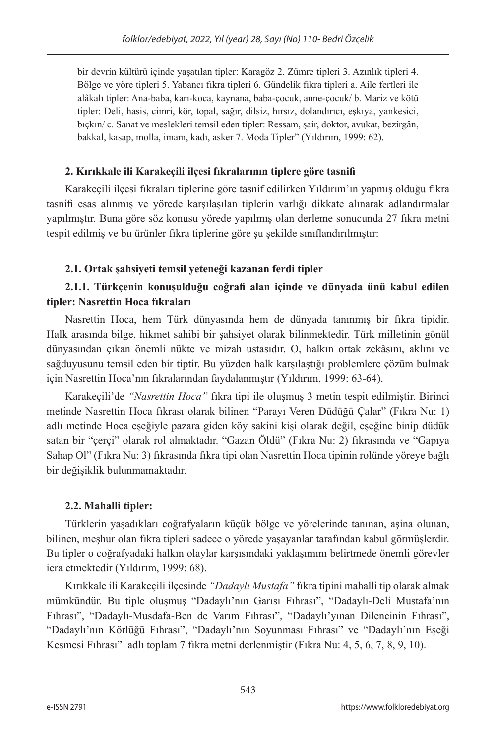bir devrin kültürü içinde yaşatılan tipler: Karagöz 2. Zümre tipleri 3. Azınlık tipleri 4. Bölge ve yöre tipleri 5. Yabancı fıkra tipleri 6. Gündelik fıkra tipleri a. Aile fertleri ile alâkalı tipler: Ana-baba, karı-koca, kaynana, baba-çocuk, anne-çocuk/ b. Mariz ve kötü tipler: Deli, hasis, cimri, kör, topal, sağır, dilsiz, hırsız, dolandırıcı, eşkıya, yankesici, bıçkın/ c. Sanat ve meslekleri temsil eden tipler: Ressam, şair, doktor, avukat, bezirgân, bakkal, kasap, molla, imam, kadı, asker 7. Moda Tipler" (Yıldırım, 1999: 62).

# **2. Kırıkkale ili Karakeçili ilçesi fıkralarının tiplere göre tasnifi**

Karakeçili ilçesi fıkraları tiplerine göre tasnif edilirken Yıldırım'ın yapmış olduğu fıkra tasnifi esas alınmış ve yörede karşılaşılan tiplerin varlığı dikkate alınarak adlandırmalar yapılmıştır. Buna göre söz konusu yörede yapılmış olan derleme sonucunda 27 fıkra metni tespit edilmiş ve bu ürünler fıkra tiplerine göre şu şekilde sınıflandırılmıştır:

# **2.1. Ortak şahsiyeti temsil yeteneği kazanan ferdi tipler**

# **2.1.1. Türkçenin konuşulduğu coğrafi alan içinde ve dünyada ünü kabul edilen tipler: Nasrettin Hoca fıkraları**

Nasrettin Hoca, hem Türk dünyasında hem de dünyada tanınmış bir fıkra tipidir. Halk arasında bilge, hikmet sahibi bir şahsiyet olarak bilinmektedir. Türk milletinin gönül dünyasından çıkan önemli nükte ve mizah ustasıdır. O, halkın ortak zekâsını, aklını ve sağduyusunu temsil eden bir tiptir. Bu yüzden halk karşılaştığı problemlere çözüm bulmak için Nasrettin Hoca'nın fıkralarından faydalanmıştır (Yıldırım, 1999: 63-64).

Karakeçili'de *"Nasrettin Hoca"* fıkra tipi ile oluşmuş 3 metin tespit edilmiştir. Birinci metinde Nasrettin Hoca fıkrası olarak bilinen "Parayı Veren Düdüğü Çalar" (Fıkra Nu: 1) adlı metinde Hoca eşeğiyle pazara giden köy sakini kişi olarak değil, eşeğine binip düdük satan bir "çerçi" olarak rol almaktadır. "Gazan Öldü" (Fıkra Nu: 2) fıkrasında ve "Gapıya Sahap Ol" (Fıkra Nu: 3) fıkrasında fıkra tipi olan Nasrettin Hoca tipinin rolünde yöreye bağlı bir değişiklik bulunmamaktadır.

# **2.2. Mahalli tipler:**

Türklerin yaşadıkları coğrafyaların küçük bölge ve yörelerinde tanınan, aşina olunan, bilinen, meşhur olan fıkra tipleri sadece o yörede yaşayanlar tarafından kabul görmüşlerdir. Bu tipler o coğrafyadaki halkın olaylar karşısındaki yaklaşımını belirtmede önemli görevler icra etmektedir (Yıldırım, 1999: 68).

Kırıkkale ili Karakeçili ilçesinde *"Dadaylı Mustafa"* fıkra tipini mahalli tip olarak almak mümkündür. Bu tiple oluşmuş "Dadaylı'nın Garısı Fıhrası", "Dadaylı-Deli Mustafa'nın Fıhrası", "Dadaylı-Musdafa-Ben de Varım Fıhrası", "Dadaylı'yınan Dilencinin Fıhrası", "Dadaylı'nın Körlüğü Fıhrası", "Dadaylı'nın Soyunması Fıhrası" ve "Dadaylı'nın Eşeği Kesmesi Fıhrası" adlı toplam 7 fıkra metni derlenmiştir (Fıkra Nu: 4, 5, 6, 7, 8, 9, 10).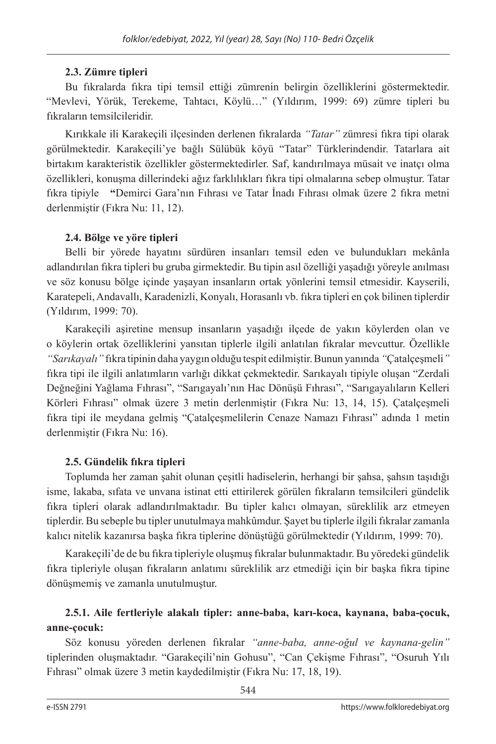## **2.3. Zümre tipleri**

Bu fıkralarda fıkra tipi temsil ettiği zümrenin belirgin özelliklerini göstermektedir. "Mevlevi, Yörük, Terekeme, Tahtacı, Köylü…" (Yıldırım, 1999: 69) zümre tipleri bu fıkraların temsilcileridir.

Kırıkkale ili Karakeçili ilçesinden derlenen fıkralarda *"Tatar"* zümresi fıkra tipi olarak görülmektedir. Karakeçili'ye bağlı Sülübük köyü "Tatar" Türklerindendir. Tatarlara ait birtakım karakteristik özellikler göstermektedirler. Saf, kandırılmaya müsait ve inatçı olma özellikleri, konuşma dillerindeki ağız farklılıkları fıkra tipi olmalarına sebep olmuştur. Tatar fıkra tipiyle **"**Demirci Gara'nın Fıhrası ve Tatar İnadı Fıhrası olmak üzere 2 fıkra metni derlenmiştir (Fıkra Nu: 11, 12).

## **2.4. Bölge ve yöre tipleri**

Belli bir yörede hayatını sürdüren insanları temsil eden ve bulundukları mekânla adlandırılan fıkra tipleri bu gruba girmektedir. Bu tipin asıl özelliği yaşadığı yöreyle anılması ve söz konusu bölge içinde yaşayan insanların ortak yönlerini temsil etmesidir. Kayserili, Karatepeli, Andavallı, Karadenizli, Konyalı, Horasanlı vb. fıkra tipleri en çok bilinen tiplerdir (Yıldırım, 1999: 70).

Karakeçili aşiretine mensup insanların yaşadığı ilçede de yakın köylerden olan ve o köylerin ortak özelliklerini yansıtan tiplerle ilgili anlatılan fıkralar mevcuttur. Özellikle *"Sarıkayalı"* fıkra tipinin daha yaygın olduğu tespit edilmiştir. Bunun yanında *"*Çatalçeşmeli*"* fıkra tipi ile ilgili anlatımların varlığı dikkat çekmektedir. Sarıkayalı tipiyle oluşan "Zerdali Değneğini Yağlama Fıhrası", "Sarıgayalı'nın Hac Dönüşü Fıhrası", "Sarıgayalıların Kelleri Körleri Fıhrası" olmak üzere 3 metin derlenmiştir (Fıkra Nu: 13, 14, 15). Çatalçeşmeli fıkra tipi ile meydana gelmiş "Çatalçeşmelilerin Cenaze Namazı Fıhrası" adında 1 metin derlenmiştir (Fıkra Nu: 16).

## **2.5. Gündelik fıkra tipleri**

Toplumda her zaman şahit olunan çeşitli hadiselerin, herhangi bir şahsa, şahsın taşıdığı isme, lakaba, sıfata ve unvana istinat etti ettirilerek görülen fıkraların temsilcileri gündelik fıkra tipleri olarak adlandırılmaktadır. Bu tipler kalıcı olmayan, süreklilik arz etmeyen tiplerdir. Bu sebeple bu tipler unutulmaya mahkûmdur. Şayet bu tiplerle ilgili fıkralar zamanla kalıcı nitelik kazanırsa başka fıkra tiplerine dönüştüğü görülmektedir (Yıldırım, 1999: 70).

Karakeçili'de de bu fıkra tipleriyle oluşmuş fıkralar bulunmaktadır. Bu yöredeki gündelik fıkra tipleriyle oluşan fıkraların anlatımı süreklilik arz etmediği için bir başka fıkra tipine dönüşmemiş ve zamanla unutulmuştur.

## **2.5.1. Aile fertleriyle alakalı tipler: anne-baba, karı-koca, kaynana, baba-çocuk, anne-çocuk:**

Söz konusu yöreden derlenen fıkralar *"anne-baba, anne-oğul ve kaynana-gelin"* tiplerinden oluşmaktadır. "Garakeçili'nin Gohusu", "Can Çekişme Fıhrası", "Osuruh Yılı Fıhrası" olmak üzere 3 metin kaydedilmiştir (Fıkra Nu: 17, 18, 19).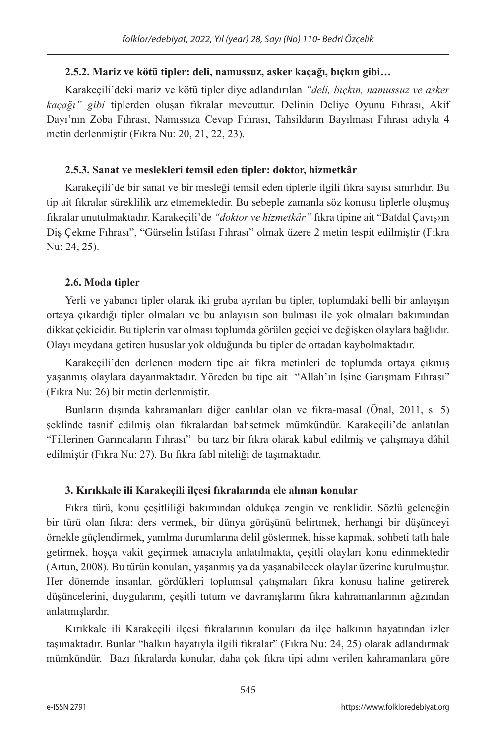## **2.5.2. Mariz ve kötü tipler: deli, namussuz, asker kaçağı, bıçkın gibi…**

Karakeçili'deki mariz ve kötü tipler diye adlandırılan *"deli, bıçkın, namussuz ve asker kaçağı" gibi* tiplerden oluşan fıkralar mevcuttur. Delinin Deliye Oyunu Fıhrası, Akif Dayı'nın Zoba Fıhrası, Namıssıza Cevap Fıhrası, Tahsildarın Bayılması Fıhrası adıyla 4 metin derlenmiştir (Fıkra Nu: 20, 21, 22, 23).

## **2.5.3. Sanat ve meslekleri temsil eden tipler: doktor, hizmetkâr**

Karakeçili'de bir sanat ve bir mesleği temsil eden tiplerle ilgili fıkra sayısı sınırlıdır. Bu tip ait fıkralar süreklilik arz etmemektedir. Bu sebeple zamanla söz konusu tiplerle oluşmuş fıkralar unutulmaktadır. Karakeçili'de *"doktor ve hizmetkâr"* fıkra tipine ait "Batdal Çavış›ın Diş Çekme Fıhrası", "Gürselin İstifası Fıhrası" olmak üzere 2 metin tespit edilmiştir (Fıkra Nu: 24, 25).

# **2.6. Moda tipler**

Yerli ve yabancı tipler olarak iki gruba ayrılan bu tipler, toplumdaki belli bir anlayışın ortaya çıkardığı tipler olmaları ve bu anlayışın son bulması ile yok olmaları bakımından dikkat çekicidir. Bu tiplerin var olması toplumda görülen geçici ve değişken olaylara bağlıdır. Olayı meydana getiren hususlar yok olduğunda bu tipler de ortadan kaybolmaktadır.

Karakeçili'den derlenen modern tipe ait fıkra metinleri de toplumda ortaya çıkmış yaşanmış olaylara dayanmaktadır. Yöreden bu tipe ait "Allah'ın İşine Garışmam Fıhrası" (Fıkra Nu: 26) bir metin derlenmiştir.

Bunların dışında kahramanları diğer canlılar olan ve fıkra-masal (Önal, 2011, s. 5) şeklinde tasnif edilmiş olan fıkralardan bahsetmek mümkündür. Karakeçili'de anlatılan "Fillerinen Garıncaların Fıhrası" bu tarz bir fıkra olarak kabul edilmiş ve çalışmaya dâhil edilmiştir (Fıkra Nu: 27). Bu fıkra fabl niteliği de taşımaktadır.

# **3. Kırıkkale ili Karakeçili ilçesi fıkralarında ele alınan konular**

Fıkra türü, konu çeşitliliği bakımından oldukça zengin ve renklidir. Sözlü geleneğin bir türü olan fıkra; ders vermek, bir dünya görüşünü belirtmek, herhangi bir düşünceyi örnekle güçlendirmek, yanılma durumlarına delil göstermek, hisse kapmak, sohbeti tatlı hale getirmek, hoşça vakit geçirmek amacıyla anlatılmakta, çeşitli olayları konu edinmektedir (Artun, 2008). Bu türün konuları, yaşanmış ya da yaşanabilecek olaylar üzerine kurulmuştur. Her dönemde insanlar, gördükleri toplumsal çatışmaları fıkra konusu haline getirerek düşüncelerini, duygularını, çeşitli tutum ve davranışlarını fıkra kahramanlarının ağzından anlatmışlardır.

Kırıkkale ili Karakeçili ilçesi fıkralarının konuları da ilçe halkının hayatından izler taşımaktadır. Bunlar "halkın hayatıyla ilgili fıkralar" (Fıkra Nu: 24, 25) olarak adlandırmak mümkündür. Bazı fıkralarda konular, daha çok fıkra tipi adını verilen kahramanlara göre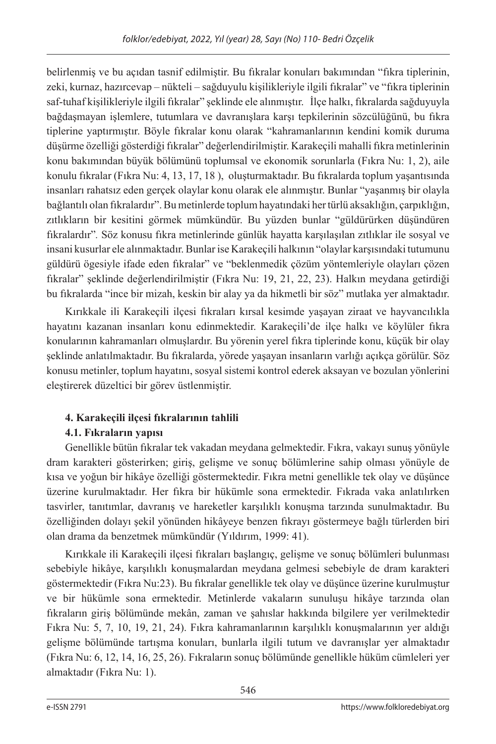belirlenmiş ve bu açıdan tasnif edilmiştir. Bu fıkralar konuları bakımından "fıkra tiplerinin, zeki, kurnaz, hazırcevap – nükteli – sağduyulu kişilikleriyle ilgili fıkralar" ve "fıkra tiplerinin saf-tuhaf kişilikleriyle ilgili fıkralar" şeklinde ele alınmıştır. İlçe halkı, fıkralarda sağduyuyla bağdaşmayan işlemlere, tutumlara ve davranışlara karşı tepkilerinin sözcülüğünü, bu fıkra tiplerine yaptırmıştır. Böyle fıkralar konu olarak "kahramanlarının kendini komik duruma düşürme özelliği gösterdiği fıkralar" değerlendirilmiştir. Karakeçili mahalli fıkra metinlerinin konu bakımından büyük bölümünü toplumsal ve ekonomik sorunlarla (Fıkra Nu: 1, 2), aile konulu fıkralar (Fıkra Nu: 4, 13, 17, 18 ), oluşturmaktadır. Bu fıkralarda toplum yaşantısında insanları rahatsız eden gerçek olaylar konu olarak ele alınmıştır. Bunlar "yaşanmış bir olayla bağlantılı olan fıkralardır". Bu metinlerde toplum hayatındaki her türlü aksaklığın, çarpıklığın, zıtlıkların bir kesitini görmek mümkündür. Bu yüzden bunlar "güldürürken düşündüren fıkralardır"*.* Söz konusu fıkra metinlerinde günlük hayatta karşılaşılan zıtlıklar ile sosyal ve insani kusurlar ele alınmaktadır. Bunlar ise Karakeçili halkının "olaylar karşısındaki tutumunu güldürü ögesiyle ifade eden fıkralar" ve "beklenmedik çözüm yöntemleriyle olayları çözen fıkralar" şeklinde değerlendirilmiştir (Fıkra Nu: 19, 21, 22, 23). Halkın meydana getirdiği bu fıkralarda "ince bir mizah, keskin bir alay ya da hikmetli bir söz" mutlaka yer almaktadır.

Kırıkkale ili Karakeçili ilçesi fıkraları kırsal kesimde yaşayan ziraat ve hayvancılıkla hayatını kazanan insanları konu edinmektedir. Karakeçili'de ilçe halkı ve köylüler fıkra konularının kahramanları olmuşlardır. Bu yörenin yerel fıkra tiplerinde konu, küçük bir olay şeklinde anlatılmaktadır. Bu fıkralarda, yörede yaşayan insanların varlığı açıkça görülür. Söz konusu metinler, toplum hayatını, sosyal sistemi kontrol ederek aksayan ve bozulan yönlerini eleştirerek düzeltici bir görev üstlenmiştir.

# **4. Karakeçili ilçesi fıkralarının tahlili**

# **4.1. Fıkraların yapısı**

Genellikle bütün fıkralar tek vakadan meydana gelmektedir. Fıkra, vakayı sunuş yönüyle dram karakteri gösterirken; giriş, gelişme ve sonuç bölümlerine sahip olması yönüyle de kısa ve yoğun bir hikâye özelliği göstermektedir. Fıkra metni genellikle tek olay ve düşünce üzerine kurulmaktadır. Her fıkra bir hükümle sona ermektedir. Fıkrada vaka anlatılırken tasvirler, tanıtımlar, davranış ve hareketler karşılıklı konuşma tarzında sunulmaktadır. Bu özelliğinden dolayı şekil yönünden hikâyeye benzen fıkrayı göstermeye bağlı türlerden biri olan drama da benzetmek mümkündür (Yıldırım, 1999: 41).

Kırıkkale ili Karakeçili ilçesi fıkraları başlangıç, gelişme ve sonuç bölümleri bulunması sebebiyle hikâye, karşılıklı konuşmalardan meydana gelmesi sebebiyle de dram karakteri göstermektedir (Fıkra Nu:23). Bu fıkralar genellikle tek olay ve düşünce üzerine kurulmuştur ve bir hükümle sona ermektedir. Metinlerde vakaların sunuluşu hikâye tarzında olan fıkraların giriş bölümünde mekân, zaman ve şahıslar hakkında bilgilere yer verilmektedir Fıkra Nu: 5, 7, 10, 19, 21, 24). Fıkra kahramanlarının karşılıklı konuşmalarının yer aldığı gelişme bölümünde tartışma konuları, bunlarla ilgili tutum ve davranışlar yer almaktadır (Fıkra Nu: 6, 12, 14, 16, 25, 26). Fıkraların sonuç bölümünde genellikle hüküm cümleleri yer almaktadır (Fıkra Nu: 1).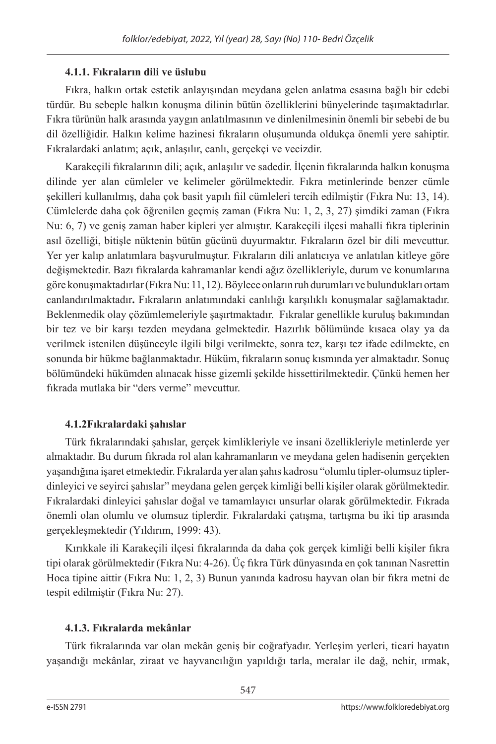## **4.1.1. Fıkraların dili ve üslubu**

Fıkra, halkın ortak estetik anlayışından meydana gelen anlatma esasına bağlı bir edebi türdür. Bu sebeple halkın konuşma dilinin bütün özelliklerini bünyelerinde taşımaktadırlar. Fıkra türünün halk arasında yaygın anlatılmasının ve dinlenilmesinin önemli bir sebebi de bu dil özelliğidir. Halkın kelime hazinesi fıkraların oluşumunda oldukça önemli yere sahiptir. Fıkralardaki anlatım; açık, anlaşılır, canlı, gerçekçi ve vecizdir.

Karakeçili fıkralarının dili; açık, anlaşılır ve sadedir. İlçenin fıkralarında halkın konuşma dilinde yer alan cümleler ve kelimeler görülmektedir. Fıkra metinlerinde benzer cümle şekilleri kullanılmış, daha çok basit yapılı fiil cümleleri tercih edilmiştir (Fıkra Nu: 13, 14). Cümlelerde daha çok öğrenilen geçmiş zaman (Fıkra Nu: 1, 2, 3, 27) şimdiki zaman (Fıkra Nu: 6, 7) ve geniş zaman haber kipleri yer almıştır. Karakeçili ilçesi mahalli fıkra tiplerinin asıl özelliği, bitişle nüktenin bütün gücünü duyurmaktır. Fıkraların özel bir dili mevcuttur. Yer yer kalıp anlatımlara başvurulmuştur. Fıkraların dili anlatıcıya ve anlatılan kitleye göre değişmektedir. Bazı fıkralarda kahramanlar kendi ağız özellikleriyle, durum ve konumlarına göre konuşmaktadırlar (Fıkra Nu: 11, 12). Böylece onların ruh durumları ve bulundukları ortam canlandırılmaktadır**.** Fıkraların anlatımındaki canlılığı karşılıklı konuşmalar sağlamaktadır. Beklenmedik olay çözümlemeleriyle şaşırtmaktadır. Fıkralar genellikle kuruluş bakımından bir tez ve bir karşı tezden meydana gelmektedir. Hazırlık bölümünde kısaca olay ya da verilmek istenilen düşünceyle ilgili bilgi verilmekte, sonra tez, karşı tez ifade edilmekte, en sonunda bir hükme bağlanmaktadır. Hüküm, fıkraların sonuç kısmında yer almaktadır. Sonuç bölümündeki hükümden alınacak hisse gizemli şekilde hissettirilmektedir. Çünkü hemen her fıkrada mutlaka bir "ders verme" mevcuttur.

## **4.1.2Fıkralardaki şahıslar**

Türk fıkralarındaki şahıslar, gerçek kimlikleriyle ve insani özellikleriyle metinlerde yer almaktadır. Bu durum fıkrada rol alan kahramanların ve meydana gelen hadisenin gerçekten yaşandığına işaret etmektedir. Fıkralarda yer alan şahıs kadrosu "olumlu tipler-olumsuz tiplerdinleyici ve seyirci şahıslar" meydana gelen gerçek kimliği belli kişiler olarak görülmektedir. Fıkralardaki dinleyici şahıslar doğal ve tamamlayıcı unsurlar olarak görülmektedir. Fıkrada önemli olan olumlu ve olumsuz tiplerdir. Fıkralardaki çatışma, tartışma bu iki tip arasında gerçekleşmektedir (Yıldırım, 1999: 43).

Kırıkkale ili Karakeçili ilçesi fıkralarında da daha çok gerçek kimliği belli kişiler fıkra tipi olarak görülmektedir (Fıkra Nu: 4-26). Üç fıkra Türk dünyasında en çok tanınan Nasrettin Hoca tipine aittir (Fıkra Nu: 1, 2, 3) Bunun yanında kadrosu hayvan olan bir fıkra metni de tespit edilmiştir (Fıkra Nu: 27).

# **4.1.3. Fıkralarda mekânlar**

Türk fıkralarında var olan mekân geniş bir coğrafyadır. Yerleşim yerleri, ticari hayatın yaşandığı mekânlar, ziraat ve hayvancılığın yapıldığı tarla, meralar ile dağ, nehir, ırmak,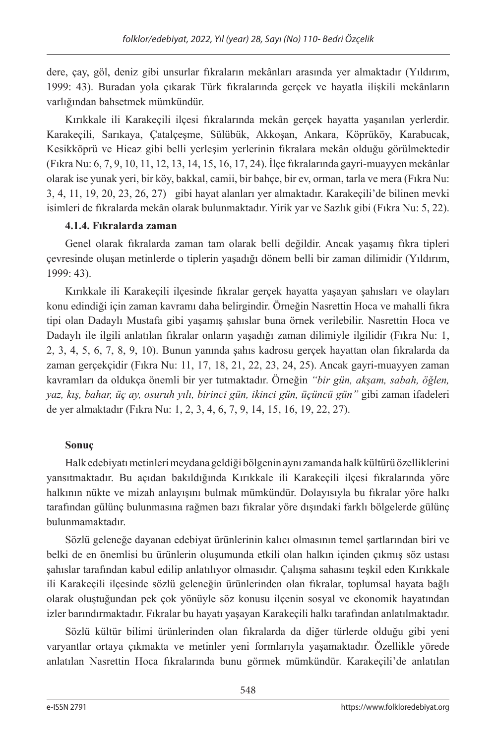dere, çay, göl, deniz gibi unsurlar fıkraların mekânları arasında yer almaktadır (Yıldırım, 1999: 43). Buradan yola çıkarak Türk fıkralarında gerçek ve hayatla ilişkili mekânların varlığından bahsetmek mümkündür.

Kırıkkale ili Karakeçili ilçesi fıkralarında mekân gerçek hayatta yaşanılan yerlerdir. Karakeçili, Sarıkaya, Çatalçeşme, Sülübük, Akkoşan, Ankara, Köprüköy, Karabucak, Kesikköprü ve Hicaz gibi belli yerleşim yerlerinin fıkralara mekân olduğu görülmektedir (Fıkra Nu: 6, 7, 9, 10, 11, 12, 13, 14, 15, 16, 17, 24). İlçe fıkralarında gayri-muayyen mekânlar olarak ise yunak yeri, bir köy, bakkal, camii, bir bahçe, bir ev, orman, tarla ve mera (Fıkra Nu: 3, 4, 11, 19, 20, 23, 26, 27) gibi hayat alanları yer almaktadır. Karakeçili'de bilinen mevki isimleri de fıkralarda mekân olarak bulunmaktadır. Yirik yar ve Sazlık gibi (Fıkra Nu: 5, 22).

## **4.1.4. Fıkralarda zaman**

Genel olarak fıkralarda zaman tam olarak belli değildir. Ancak yaşamış fıkra tipleri çevresinde oluşan metinlerde o tiplerin yaşadığı dönem belli bir zaman dilimidir (Yıldırım, 1999: 43).

Kırıkkale ili Karakeçili ilçesinde fıkralar gerçek hayatta yaşayan şahısları ve olayları konu edindiği için zaman kavramı daha belirgindir. Örneğin Nasrettin Hoca ve mahalli fıkra tipi olan Dadaylı Mustafa gibi yaşamış şahıslar buna örnek verilebilir. Nasrettin Hoca ve Dadaylı ile ilgili anlatılan fıkralar onların yaşadığı zaman dilimiyle ilgilidir (Fıkra Nu: 1, 2, 3, 4, 5, 6, 7, 8, 9, 10). Bunun yanında şahıs kadrosu gerçek hayattan olan fıkralarda da zaman gerçekçidir (Fıkra Nu: 11, 17, 18, 21, 22, 23, 24, 25). Ancak gayri-muayyen zaman kavramları da oldukça önemli bir yer tutmaktadır. Örneğin *"bir gün, akşam, sabah, öğlen, yaz, kış, bahar, üç ay, osuruh yılı, birinci gün, ikinci gün, üçüncü gün"* gibi zaman ifadeleri de yer almaktadır (Fıkra Nu: 1, 2, 3, 4, 6, 7, 9, 14, 15, 16, 19, 22, 27).

## **Sonuç**

Halk edebiyatı metinleri meydana geldiği bölgenin aynı zamanda halk kültürü özelliklerini yansıtmaktadır. Bu açıdan bakıldığında Kırıkkale ili Karakeçili ilçesi fıkralarında yöre halkının nükte ve mizah anlayışını bulmak mümkündür. Dolayısıyla bu fıkralar yöre halkı tarafından gülünç bulunmasına rağmen bazı fıkralar yöre dışındaki farklı bölgelerde gülünç bulunmamaktadır.

Sözlü geleneğe dayanan edebiyat ürünlerinin kalıcı olmasının temel şartlarından biri ve belki de en önemlisi bu ürünlerin oluşumunda etkili olan halkın içinden çıkmış söz ustası şahıslar tarafından kabul edilip anlatılıyor olmasıdır. Çalışma sahasını teşkil eden Kırıkkale ili Karakeçili ilçesinde sözlü geleneğin ürünlerinden olan fıkralar, toplumsal hayata bağlı olarak oluştuğundan pek çok yönüyle söz konusu ilçenin sosyal ve ekonomik hayatından izler barındırmaktadır. Fıkralar bu hayatı yaşayan Karakeçili halkı tarafından anlatılmaktadır.

Sözlü kültür bilimi ürünlerinden olan fıkralarda da diğer türlerde olduğu gibi yeni varyantlar ortaya çıkmakta ve metinler yeni formlarıyla yaşamaktadır. Özellikle yörede anlatılan Nasrettin Hoca fıkralarında bunu görmek mümkündür. Karakeçili'de anlatılan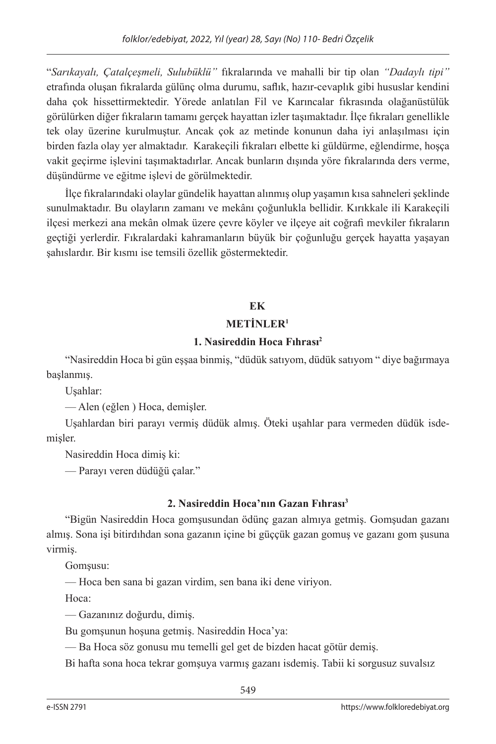"*Sarıkayalı, Çatalçeşmeli, Sulubüklü"* fıkralarında ve mahalli bir tip olan *"Dadaylı tipi"*  etrafında oluşan fıkralarda gülünç olma durumu, saflık, hazır-cevaplık gibi hususlar kendini daha çok hissettirmektedir. Yörede anlatılan Fil ve Karıncalar fıkrasında olağanüstülük görülürken diğer fıkraların tamamı gerçek hayattan izler taşımaktadır. İlçe fıkraları genellikle tek olay üzerine kurulmuştur. Ancak çok az metinde konunun daha iyi anlaşılması için birden fazla olay yer almaktadır. Karakeçili fıkraları elbette ki güldürme, eğlendirme, hoşça vakit geçirme işlevini taşımaktadırlar. Ancak bunların dışında yöre fıkralarında ders verme, düşündürme ve eğitme işlevi de görülmektedir.

İlçe fıkralarındaki olaylar gündelik hayattan alınmış olup yaşamın kısa sahneleri şeklinde sunulmaktadır. Bu olayların zamanı ve mekânı çoğunlukla bellidir. Kırıkkale ili Karakeçili ilçesi merkezi ana mekân olmak üzere çevre köyler ve ilçeye ait coğrafi mevkiler fıkraların geçtiği yerlerdir. Fıkralardaki kahramanların büyük bir çoğunluğu gerçek hayatta yaşayan şahıslardır. Bir kısmı ise temsili özellik göstermektedir.

## **EK**

## **METİNLER<sup>1</sup>**

# **1. Nasireddin Hoca Fıhrası<sup>2</sup>**

"Nasireddin Hoca bi gün eşşaa binmiş, "düdük satıyom, düdük satıyom " diye bağırmaya başlanmış.

Uşahlar:

— Alen (eğlen ) Hoca, demişler.

Uşahlardan biri parayı vermiş düdük almış. Öteki uşahlar para vermeden düdük isdemişler.

Nasireddin Hoca dimiş ki:

— Parayı veren düdüğü çalar."

# **2. Nasireddin Hoca'nın Gazan Fıhrası<sup>3</sup>**

"Bigün Nasireddin Hoca gomşusundan ödünç gazan almıya getmiş. Gomşudan gazanı almış. Sona işi bitirdıhdan sona gazanın içine bi güççük gazan gomuş ve gazanı gom şusuna virmiş.

Gomşusu:

— Hoca ben sana bi gazan virdim, sen bana iki dene viriyon.

Hoca:

— Gazanınız doğurdu, dimiş.

Bu gomşunun hoşuna getmiş. Nasireddin Hoca'ya:

— Ba Hoca söz gonusu mu temelli gel get de bizden hacat götür demiş.

Bi hafta sona hoca tekrar gomşuya varmış gazanı isdemiş. Tabii ki sorgusuz suvalsız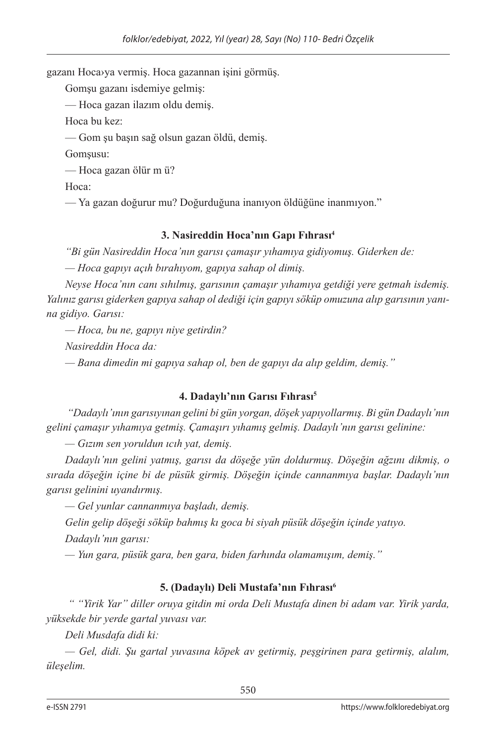gazanı Hoca›ya vermiş. Hoca gazannan işini görmüş.

Gomşu gazanı isdemiye gelmiş:

— Hoca gazan ilazım oldu demiş.

Hoca bu kez:

— Gom şu başın sağ olsun gazan öldü, demiş.

Gomşusu:

— Hoca gazan ölür m ü?

Hoca:

— Ya gazan doğurur mu? Doğurduğuna inanıyon öldüğüne inanmıyon."

## **3. Nasireddin Hoca'nın Gapı Fıhrası<sup>4</sup>**

*"Bi gün Nasireddin Hoca'nın garısı çamaşır yıhamıya gidiyomuş. Giderken de:*

*— Hoca gapıyı açıh bırahıyom, gapıya sahap ol dimiş.*

*Neyse Hoca'nın canı sıhılmış, garısının çamaşır yıhamıya getdiği yere getmah isdemiş. Yalınız garısı giderken gapıya sahap ol dediği için gapıyı söküp omuzuna alıp garısının yanına gidiyo. Garısı:*

*— Hoca, bu ne, gapıyı niye getirdin?*

*Nasireddin Hoca da:*

*— Bana dimedin mi gapıya sahap ol, ben de gapıyı da alıp geldim, demiş."*

## **4. Dadaylı'nın Garısı Fıhrası<sup>5</sup>**

 *"Dadaylı'ının garısıyınan gelini bi gün yorgan, döşek yapıyollarmış. Bi gün Dadaylı'nın gelini çamaşır yıhamıya getmiş. Çamaşırı yıhamış gelmiş. Dadaylı'nın garısı gelinine:*

*— Gızım sen yoruldun ıcıh yat, demiş.*

*Dadaylı'nın gelini yatmış, garısı da döşeğe yün doldurmuş. Döşeğin ağzını dikmiş, o sırada döşeğin içine bi de püsük girmiş. Döşeğin içinde cannanmıya başlar. Dadaylı'nın garısı gelinini uyandırmış.*

*— Gel yunlar cannanmıya başladı, demiş.*

*Gelin gelip döşeği söküp bahmış kı goca bi siyah püsük döşeğin içinde yatıyo.*

*Dadaylı'nın garısı:*

*— Yun gara, püsük gara, ben gara, biden farhında olamamışım, demiş."*

## **5. (Dadaylı) Deli Mustafa'nın Fıhrası6**

 *" "Yirik Yar" diller oruya gitdin mi orda Deli Mustafa dinen bi adam var. Yirik yarda, yüksekde bir yerde gartal yuvası var.* 

*Deli Musdafa didi ki:*

*— Gel, didi. Şu gartal yuvasına köpek av getirmiş, peşgirinen para getirmiş, alalım, üleşelim.*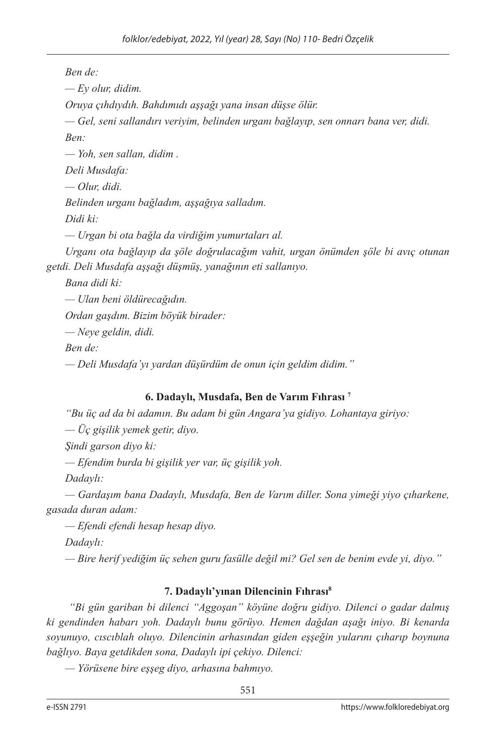*Ben de: — Ey olur, didim. Oruya çıhdıydıh. Bahdımıdı aşşağı yana insan düşse ölür. — Gel, seni sallandırı veriyim, belinden urganı bağlayıp, sen onnarı bana ver, didi. Ben: — Yoh, sen sallan, didim . Deli Musdafa: — Olur, didi. Belinden urganı bağladım, aşşağıya salladım. Didi ki: — Urgan bi ota bağla da virdiğim yumurtaları al. Urganı ota bağlayıp da şöle doğrulacağım vahit, urgan önümden şöle bi avıç otunan getdi. Deli Musdafa aşşağı düşmüş, yanağının eti sallanıyo. Bana didi ki: — Ulan beni öldürecağıdın. Ordan gaşdım. Bizim böyük birader: — Neye geldin, didi. Ben de:*

*— Deli Musdafa'yı yardan düşürdüm de onun için geldim didim."*

## **6. Dadaylı, Musdafa, Ben de Varım Fıhrası 7**

*"Bu üç ad da bi adamın. Bu adam bi gün Angara'ya gidiyo. Lohantaya giriyo:*

*— Üç gişilik yemek getir, diyo.*

*Şindi garson diyo ki:*

*— Efendim burda bi gişilik yer var, üç gişilik yoh.*

*Dadaylı:*

*— Gardaşım bana Dadaylı, Musdafa, Ben de Varım diller. Sona yimeği yiyo çıharkene, gasada duran adam:*

*— Efendi efendi hesap hesap diyo.*

*Dadaylı:*

*— Bire herif yediğim üç sehen guru fasülle değil mi? Gel sen de benim evde yi, diyo."*

## **7. Dadaylı'yınan Dilencinin Fıhrası8**

 *"Bi gün gariban bi dilenci "Aggoşan" köyüne doğru gidiyo. Dilenci o gadar dalmış ki gendinden habarı yoh. Dadaylı bunu görüyo. Hemen dağdan aşağı iniyo. Bi kenarda soyunuyo, cıscıblah oluyo. Dilencinin arhasından giden eşşeğin yularını çıharıp boynuna bağlıyo. Baya getdikden sona, Dadaylı ipi çekiyo. Dilenci:*

*— Yörüsene bire eşşeg diyo, arhasına bahmıyo.*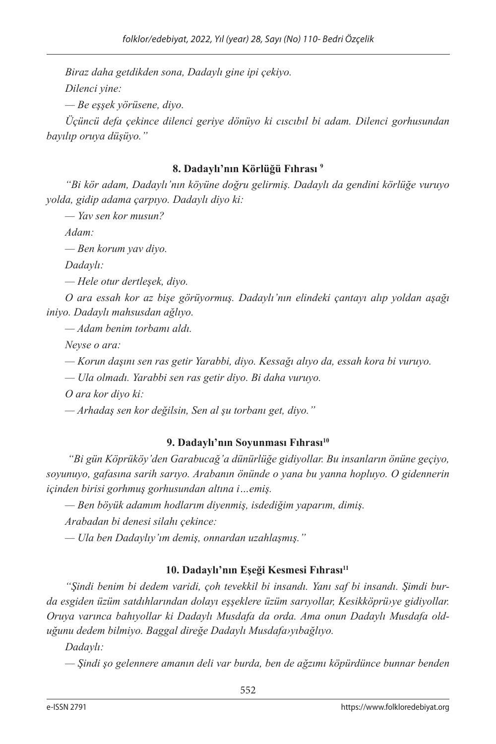*Biraz daha getdikden sona, Dadaylı gine ipi çekiyo. Dilenci yine: — Be eşşek yörüsene, diyo. Üçüncü defa çekince dilenci geriye dönüyo ki cıscıbıl bi adam. Dilenci gorhusundan* 

#### **8. Dadaylı'nın Körlüğü Fıhrası 9**

*"Bi kör adam, Dadaylı'nın köyüne doğru gelirmiş. Dadaylı da gendini körlüğe vuruyo yolda, gidip adama çarpıyo. Dadaylı diyo ki:*

*— Yav sen kor musun?*

*bayılıp oruya düşüyo."*

*Adam:*

*— Ben korum yav diyo.*

*Dadaylı:*

*— Hele otur dertleşek, diyo.*

*O ara essah kor az bişe görüyormuş. Dadaylı'nın elindeki çantayı alıp yoldan aşağı iniyo. Dadaylı mahsusdan ağlıyo.*

*— Adam benim torbamı aldı.*

*Neyse o ara:*

*— Korun daşını sen ras getir Yarabbi, diyo. Kessağı alıyo da, essah kora bi vuruyo.*

*— Ula olmadı. Yarabbi sen ras getir diyo. Bi daha vuruyo.*

*O ara kor diyo ki:*

*— Arhadaş sen kor değilsin, Sen al şu torbanı get, diyo."*

## **9. Dadaylı'nın Soyunması Fıhrası10**

 *"Bi gün Köprüköy'den Garabucağ'a dünürlüğe gidiyollar. Bu insanların önüne geçiyo, soyunuyo, gafasına sarih sarıyo. Arabanın önünde o yana bu yanna hopluyo. O gidennerin içinden birisi gorhmuş gorhusundan altına i…emiş.*

*— Ben böyük adamım hodlarım diyenmiş, isdediğim yaparım, dimiş.*

*Arabadan bi denesi silahı çekince:*

*— Ula ben Dadaylıy'ım demiş, onnardan uzahlaşmış."*

## **10. Dadaylı'nın Eşeği Kesmesi Fıhrası<sup>11</sup>**

*"Şindi benim bi dedem varidi, çoh tevekkil bi insandı. Yanı saf bi insandı. Şimdi burda esgiden üzüm satdıhlarından dolayı eşşeklere üzüm sarıyollar, Kesikköprü›ye gidiyollar. Oruya varınca bahıyollar ki Dadaylı Musdafa da orda. Ama onun Dadaylı Musdafa olduğunu dedem bilmiyo. Baggal direğe Dadaylı Musdafa›yıbağlıyo.* 

*Dadaylı:*

*— Şindi şo gelennere amanın deli var burda, ben de ağzımı köpürdünce bunnar benden*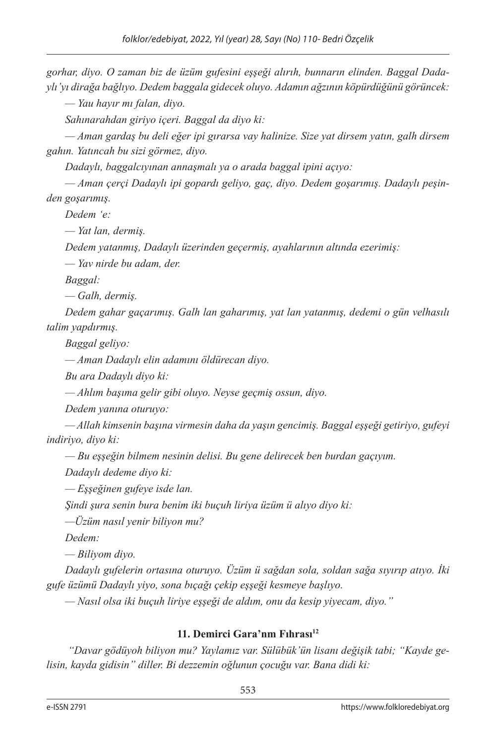*gorhar, diyo. O zaman biz de üzüm gufesini eşşeği alırıh, bunnarın elinden. Baggal Dadaylı'yı dirağa bağlıyo. Dedem baggala gidecek oluyo. Adamın ağzının köpürdüğünü görüncek:*

*— Yau hayır mı falan, diyo.*

*Sahınarahdan giriyo içeri. Baggal da diyo ki:*

*— Aman gardaş bu deli eğer ipi gırarsa vay halinize. Size yat dirsem yatın, galh dirsem gahın. Yatıncah bu sizi görmez, diyo.*

*Dadaylı, baggalcıyınan annaşmalı ya o arada baggal ipini açıyo:*

*— Aman çerçi Dadaylı ipi gopardı geliyo, gaç, diyo. Dedem goşarımış. Dadaylı peşinden goşarımış.* 

*Dedem 'e:*

*— Yat lan, dermiş.*

*Dedem yatanmış, Dadaylı üzerinden geçermiş, ayahlarının altında ezerimiş:*

*— Yav nirde bu adam, der.*

*Baggal:*

*— Galh, dermiş.*

*Dedem gahar gaçarımış. Galh lan gaharımış, yat lan yatanmış, dedemi o gün velhasılı talim yapdırmış.*

*Baggal geliyo:*

*— Aman Dadaylı elin adamını öldürecan diyo.*

*Bu ara Dadaylı diyo ki:*

*— Ahlım başıma gelir gibi oluyo. Neyse geçmiş ossun, diyo.*

*Dedem yanına oturuyo:*

*— Allah kimsenin başına virmesin daha da yaşın gencimiş. Baggal eşşeği getiriyo, gufeyi indiriyo, diyo ki:*

*— Bu eşşeğin bilmem nesinin delisi. Bu gene delirecek ben burdan gaçıyım.*

*Dadaylı dedeme diyo ki:*

*— Eşşeğinen gufeye isde lan.*

*Şindi şura senin bura benim iki buçuh liriya üzüm ü alıyo diyo ki:*

*—Üzüm nasıl yenir biliyon mu?*

*Dedem:*

*— Biliyom diyo.*

*Dadaylı gufelerin ortasına oturuyo. Üzüm ü sağdan sola, soldan sağa sıyırıp atıyo. İki gufe üzümü Dadaylı yiyo, sona bıçağı çekip eşşeği kesmeye başlıyo.*

*— Nasıl olsa iki buçuh liriye eşşeği de aldım, onu da kesip yiyecam, diyo."*

## **11. Demirci Gara'nm Fıhrası<sup>12</sup>**

 *"Davar gödüyoh biliyon mu? Yaylamız var. Sülübük'ün lisanı değişik tabi; "Kayde gelisin, kayda gidisin" diller. Bi dezzemin oğlunun çocuğu var. Bana didi ki:*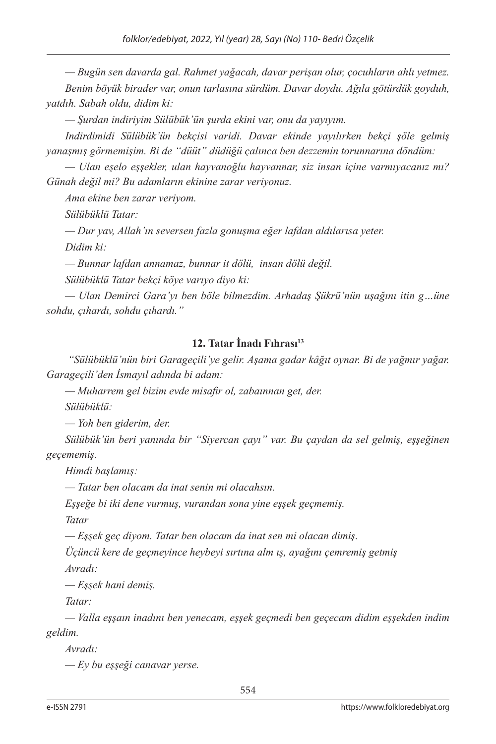*— Bugün sen davarda gal. Rahmet yağacah, davar perişan olur, çocuhların ahlı yetmez. Benim böyük birader var, onun tarlasına sürdüm. Davar doydu. Ağıla götürdük goyduh, yatdıh. Sabah oldu, didim ki:*

*— Şurdan indiriyim Sülübük'ün şurda ekini var, onu da yayıyım.*

*Indirdimidi Sülübük'ün bekçisi varidi. Davar ekinde yayılırken bekçi şöle gelmiş yanaşmış görmemişim. Bi de "düüt" düdüğü çalınca ben dezzemin torunnarına döndüm:*

*— Ulan eşelo eşşekler, ulan hayvanoğlu hayvannar, siz insan içine varmıyacanız mı? Günah değil mi? Bu adamların ekinine zarar veriyonuz.*

*Ama ekine ben zarar veriyom.*

*Sülübüklü Tatar:*

*— Dur yav, Allah'ın seversen fazla gonuşma eğer lafdan aldılarısa yeter.*

*Didim ki:*

*— Bunnar lafdan annamaz, bunnar it dölü, insan dölü değil.*

*Sülübüklü Tatar bekçi köye varıyo diyo ki:*

*— Ulan Demirci Gara'yı ben böle bilmezdim. Arhadaş Şükrü'nün uşağını itin g…üne sohdu, çıhardı, sohdu çıhardı."*

## **12. Tatar İnadı Fıhrası<sup>13</sup>**

 *"Sülübüklü'nün biri Garageçili'ye gelir. Aşama gadar kâğıt oynar. Bi de yağmır yağar. Garageçili'den İsmayıl adında bi adam:*

*— Muharrem gel bizim evde misafir ol, zabaınnan get, der.*

*Sülübüklü:*

*— Yoh ben giderim, der.*

*Sülübük'ün beri yanında bir "Siyercan çayı" var. Bu çaydan da sel gelmiş, eşşeğinen geçememiş.* 

*Himdi başlamış:*

*— Tatar ben olacam da inat senin mi olacahsın.*

*Eşşeğe bi iki dene vurmuş, vurandan sona yine eşşek geçmemiş.*

*Tatar*

*— Eşşek geç diyom. Tatar ben olacam da inat sen mi olacan dimiş.*

*Üçüncü kere de geçmeyince heybeyi sırtına alm ış, ayağını çemremiş getmiş*

*Avradı:*

*— Eşşek hani demiş.*

*Tatar:*

*— Valla eşşaın inadını ben yenecam, eşşek geçmedi ben geçecam didim eşşekden indim geldim.*

*Avradı:*

*— Ey bu eşşeği canavar yerse.*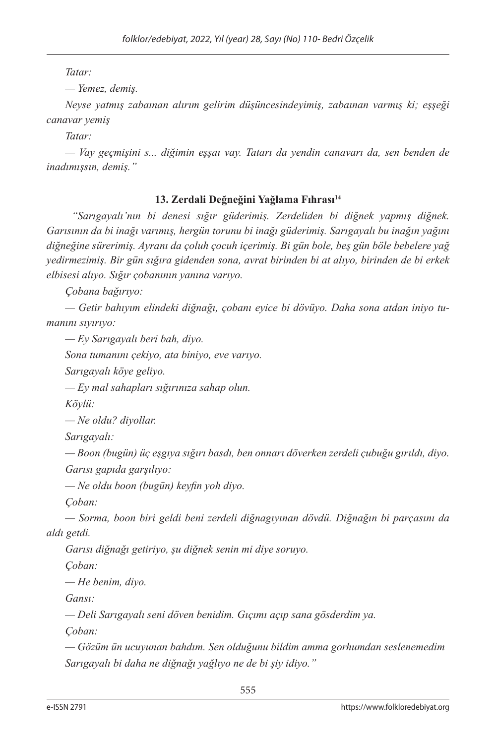*Tatar:*

*— Yemez, demiş.*

*Neyse yatmış zabaınan alırım gelirim düşüncesindeyimiş, zabaınan varmış ki; eşşeği canavar yemiş*

*Tatar:*

*— Vay geçmişini s... diğimin eşşaı vay. Tatarı da yendin canavarı da, sen benden de inadımışsın, demiş."*

## **13. Zerdali Değneğini Yağlama Fıhrası<sup>14</sup>**

 *"Sarıgayalı'nın bi denesi sığır güderimiş. Zerdeliden bi diğnek yapmış diğnek. Garısının da bi inağı varımış, hergün torunu bi inağı güderimiş. Sarıgayalı bu inağın yağını diğneğine sürerimiş. Ayranı da çoluh çocuh içerimiş. Bi gün bole, beş gün böle bebelere yağ yedirmezimiş. Bir gün sığıra gidenden sona, avrat birinden bi at alıyo, birinden de bi erkek elbisesi alıyo. Sığır çobanının yanına varıyo.*

*Çobana bağırıyo:*

*— Getir bahıyım elindeki diğnağı, çobanı eyice bi dövüyo. Daha sona atdan iniyo tumanını sıyırıyo:*

*— Ey Sarıgayalı beri bah, diyo.*

*Sona tumanını çekiyo, ata biniyo, eve varıyo.*

*Sarıgayalı köye geliyo.*

*— Ey mal sahapları sığırınıza sahap olun.*

*Köylü:*

*— Ne oldu? diyollar.*

*Sarıgayalı:*

*— Boon (bugün) üç eşgıya sığırı basdı, ben onnarı döverken zerdeli çubuğu gırıldı, diyo. Garısı gapıda garşılıyo:*

*— Ne oldu boon (bugün) keyfin yoh diyo.*

*Çoban:*

*— Sorma, boon biri geldi beni zerdeli diğnagıyınan dövdü. Diğnağın bi parçasını da aldı getdi.*

*Garısı diğnağı getiriyo, şu diğnek senin mi diye soruyo.*

*Çoban:*

*— He benim, diyo.*

*Gansı:*

*— Deli Sarıgayalı seni döven benidim. Gıçımı açıp sana gösderdim ya.*

*Çoban:*

*— Gözüm ün ucuyunan bahdım. Sen olduğunu bildim amma gorhumdan seslenemedim Sarıgayalı bi daha ne diğnağı yağlıyo ne de bi şiy idiyo."*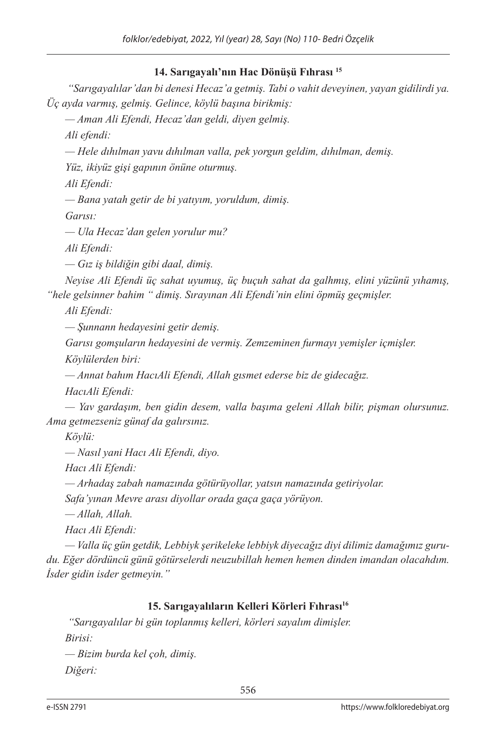## **14. Sarıgayalı'nın Hac Dönüşü Fıhrası <sup>15</sup>**

 *"Sarıgayalılar'dan bi denesi Hecaz'a getmiş. Tabi o vahit deveyinen, yayan gidilirdi ya. Üç ayda varmış, gelmiş. Gelince, köylü başına birikmiş:*

*— Aman Ali Efendi, Hecaz'dan geldi, diyen gelmiş.*

*Ali efendi:*

*— Hele dıhılman yavu dıhılman valla, pek yorgun geldim, dıhılman, demiş.*

*Yüz, ikiyüz gişi gapının önüne oturmuş.*

*Ali Efendi:*

*— Bana yatah getir de bi yatıyım, yoruldum, dimiş.*

*Garısı:*

*— Ula Hecaz'dan gelen yorulur mu?*

*Ali Efendi:*

*— Gız iş bildiğin gibi daal, dimiş.*

*Neyise Ali Efendi üç sahat uyumuş, üç buçuh sahat da galhmış, elini yüzünü yıhamış, "hele gelsinner bahim " dimiş. Sırayınan Ali Efendi'nin elini öpmüş geçmişler.*

*Ali Efendi:*

*— Şunnann hedayesini getir demiş.*

*Garısı gomşuların hedayesini de vermiş. Zemzeminen furmayı yemişler içmişler.*

*Köylülerden biri:*

*— Annat bahım HacıAli Efendi, Allah gısmet ederse biz de gidecağız.*

*HacıAli Efendi:*

*— Yav gardaşım, ben gidin desem, valla başıma geleni Allah bilir, pişman olursunuz. Ama getmezseniz günaf da galırsınız.*

*Köylü:*

*— Nasıl yani Hacı Ali Efendi, diyo.*

*Hacı Ali Efendi:*

*— Arhadaş zabah namazında götürüyollar, yatsın namazında getiriyolar.*

*Safa'yınan Mevre arası diyollar orada gaça gaça yörüyon.*

*— Allah, Allah.*

*Hacı Ali Efendi:*

*— Valla üç gün getdik, Lebbiyk şerikeleke lebbiyk diyecağız diyi dilimiz damağımız gurudu. Eğer dördüncü günü götürselerdi neuzubillah hemen hemen dinden imandan olacahdım. İsder gidin isder getmeyin."*

## **15. Sarıgayalıların Kelleri Körleri Fıhrası16**

 *"Sarıgayalılar bi gün toplanmış kelleri, körleri sayalım dimişler. Birisi:*

*— Bizim burda kel çoh, dimiş. Diğeri:*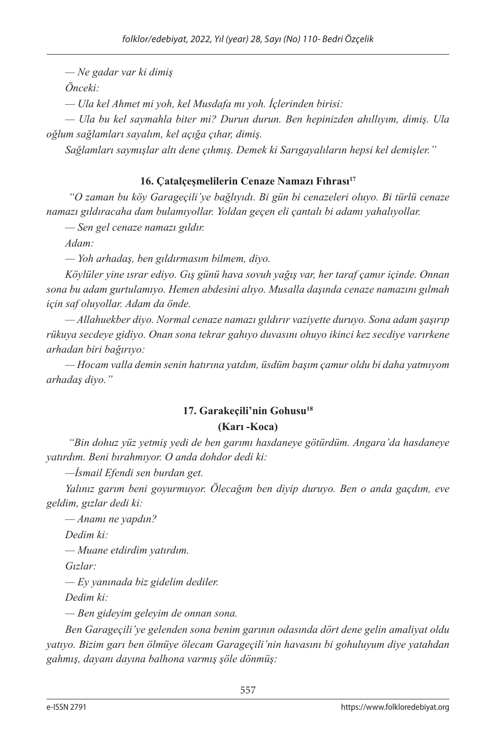*— Ne gadar var ki dimiş*

*Önceki:*

*— Ula kel Ahmet mi yoh, kel Musdafa mı yoh. İçlerinden birisi:*

*— Ula bu kel saymahla biter mi? Durun durun. Ben hepinizden ahıllıyım, dimiş. Ula oğlum sağlamları sayalım, kel açığa çıhar, dimiş.*

*Sağlamları saymışlar altı dene çıhmış. Demek ki Sarıgayalıların hepsi kel demişler."*

## 16. Çatalçeşmelilerin Cenaze Namazı Fıhrası<sup>17</sup>

 *"O zaman bu köy Garageçili'ye bağlıyıdı. Bi gün bi cenazeleri oluyo. Bi türlü cenaze namazı gıldıracaha dam bulamıyollar. Yoldan geçen eli çantalı bi adamı yahalıyollar.*

*— Sen gel cenaze namazı gıldır.* 

*Adam:*

*— Yoh arhadaş, ben gıldırmasım bilmem, diyo.*

*Köylüler yine ısrar ediyo. Gış günü hava sovuh yağış var, her taraf çamır içinde. Onnan sona bu adam gurtulamıyo. Hemen abdesini alıyo. Musalla daşında cenaze namazını gılmah için saf oluyollar. Adam da önde.*

*— Allahuekber diyo. Normal cenaze namazı gıldırır vaziyette duruyo. Sona adam şaşırıp rükuya secdeye gidiyo. Onan sona tekrar gahıyo duvasını ohuyo ikinci kez secdiye varırkene arhadan biri bağırıyo:*

*— Hocam valla demin senin hatırına yatdım, üsdüm başım çamur oldu bi daha yatmıyom arhadaş diyo."*

# **17. Garakeçili'nin Gohusu18 (Karı -Koca)**

 *"Bin dohuz yüz yetmiş yedi de ben garımı hasdaneye götürdüm. Angara'da hasdaneye yatırdım. Beni bırahmıyor. O anda dohdor dedi ki:*

*—İsmail Efendi sen burdan get.* 

*Yalınız garım beni goyurmuyor. Ölecağım ben diyip duruyo. Ben o anda gaçdım, eve geldim, gızlar dedi ki:*

*— Anamı ne yapdın?*

*Dedim ki:*

*— Muane etdirdim yatırdım.*

*Gızlar:*

*— Ey yanınada biz gidelim dediler.*

*Dedim ki:*

*— Ben gideyim geleyim de onnan sona.*

*Ben Garageçili'ye gelenden sona benim garının odasında dört dene gelin amaliyat oldu yatıyo. Bizim garı ben ölmüye ölecam Garageçili'nin havasını bi gohuluyum diye yatahdan gahmış, dayanı dayına balhona varmış şöle dönmüş:*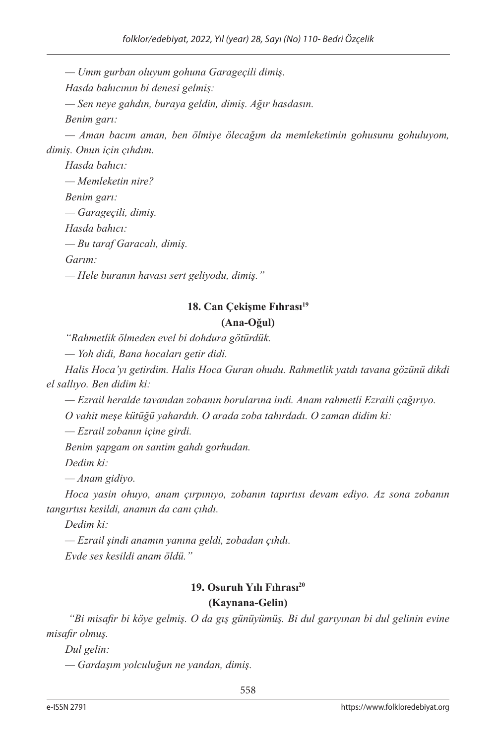*— Umm gurban oluyum gohuna Garageçili dimiş.*

*Hasda bahıcının bi denesi gelmiş:*

*— Sen neye gahdın, buraya geldin, dimiş. Ağır hasdasın.*

*Benim garı:*

*— Aman bacım aman, ben ölmiye ölecağım da memleketimin gohusunu gohuluyom, dimiş. Onun için çıhdım.*

*Hasda bahıcı: — Memleketin nire?*

*Benim garı:*

*— Garageçili, dimiş.*

*Hasda bahıcı:*

*— Bu taraf Garacalı, dimiş.*

*Garım:*

*— Hele buranın havası sert geliyodu, dimiş."*

#### 18. Can Çekişme Fıhrası<sup>19</sup> **(Ana-Oğul)**

*"Rahmetlik ölmeden evel bi dohdura götürdük.*

*— Yoh didi, Bana hocaları getir didi.*

*Halis Hoca'yı getirdim. Halis Hoca Guran ohudu. Rahmetlik yatdı tavana gözünü dikdi el sallıyo. Ben didim ki:*

*— Ezrail heralde tavandan zobanın borularına indi. Anam rahmetli Ezraili çağırıyo.*

*O vahit meşe kütüğü yahardıh. O arada zoba tahırdadı. O zaman didim ki:*

*— Ezrail zobanın içine girdi.*

*Benim şapgam on santim gahdı gorhudan.* 

*Dedim ki:*

*— Anam gidiyo.*

*Hoca yasin ohuyo, anam çırpınıyo, zobanın tapırtısı devam ediyo. Az sona zobanın tangırtısı kesildi, anamın da canı çıhdı.* 

*Dedim ki:*

*— Ezrail şindi anamın yanına geldi, zobadan çıhdı.*

*Evde ses kesildi anam öldü."*

## **19. Osuruh Yılı Fıhrası20**

#### **(Kaynana-Gelin)**

 *"Bi misafir bi köye gelmiş. O da gış günüyümüş. Bi dul garıyınan bi dul gelinin evine misafir olmuş.*

*Dul gelin:*

*— Gardaşım yolculuğun ne yandan, dimiş.*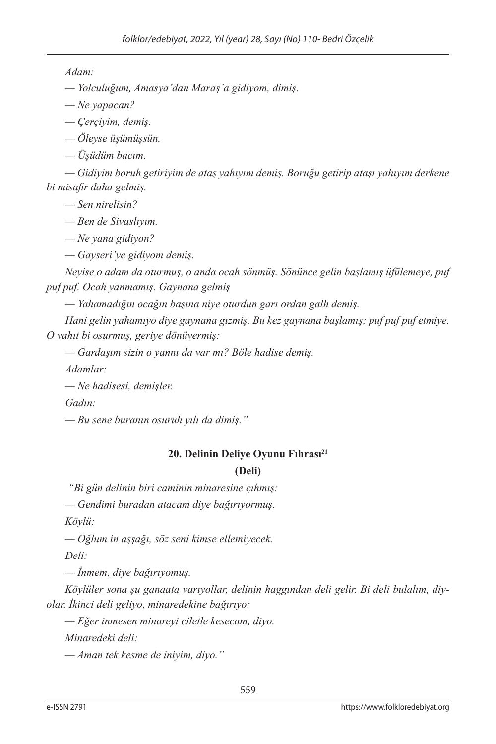*Adam:*

*— Yolculuğum, Amasya'dan Maraş'a gidiyom, dimiş.*

*— Ne yapacan?*

*— Çerçiyim, demiş.*

*— Öleyse üşümüşsün.*

*— Üşüdüm bacım.*

*— Gidiyim boruh getiriyim de ataş yahıyım demiş. Boruğu getirip ataşı yahıyım derkene bi misafir daha gelmiş.*

*— Sen nirelisin?*

*— Ben de Sivaslıyım.*

*— Ne yana gidiyon?*

*— Gayseri'ye gidiyom demiş.*

*Neyise o adam da oturmuş, o anda ocah sönmüş. Sönünce gelin başlamış üfülemeye, puf puf puf. Ocah yanmamış. Gaynana gelmiş*

*— Yahamadığın ocağın başına niye oturdun garı ordan galh demiş.*

*Hani gelin yahamıyo diye gaynana gızmiş. Bu kez gaynana başlamış; puf puf puf etmiye. O vahıt bi osurmuş, geriye dönüvermiş:*

*— Gardaşım sizin o yannı da var mı? Böle hadise demiş.*

*Adamlar:*

*— Ne hadisesi, demişler.*

*Gadın:*

*— Bu sene buranın osuruh yılı da dimiş."*

# **20. Delinin Deliye Oyunu Fıhrası<sup>21</sup>**

## **(Deli)**

 *"Bi gün delinin biri caminin minaresine çıhmış:*

*— Gendimi buradan atacam diye bağırıyormuş.*

*Köylü:*

*— Oğlum in aşşağı, söz seni kimse ellemiyecek.*

*Deli:*

*— İnmem, diye bağırıyomuş.*

*Köylüler sona şu ganaata varıyollar, delinin haggından deli gelir. Bi deli bulalım, diyolar. İkinci deli geliyo, minaredekine bağırıyo:*

*— Eğer inmesen minareyi ciletle kesecam, diyo.*

*Minaredeki deli:*

*— Aman tek kesme de iniyim, diyo."*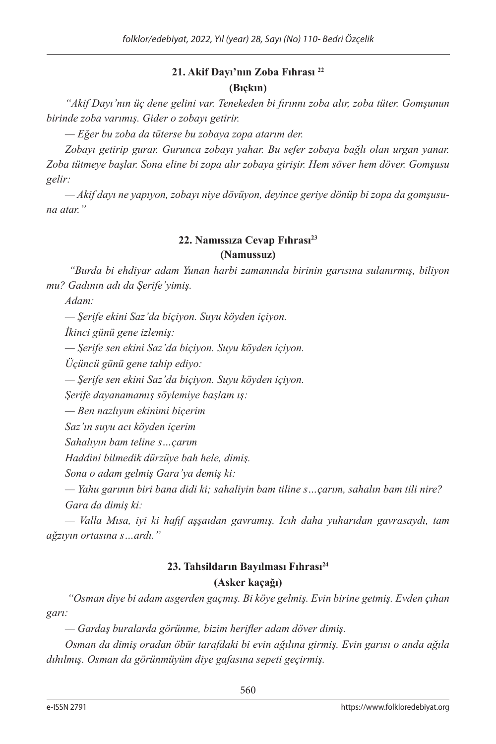## **21. Akif Dayı'nın Zoba Fıhrası <sup>22</sup> (Bıçkın)**

*"Akif Dayı'nın üç dene gelini var. Tenekeden bi fırınnı zoba alır, zoba tüter. Gomşunun birinde zoba varımış. Gider o zobayı getirir.*

*— Eğer bu zoba da tüterse bu zobaya zopa atarım der.*

*Zobayı getirip gurar. Gurunca zobayı yahar. Bu sefer zobaya bağlı olan urgan yanar. Zoba tütmeye başlar. Sona eline bi zopa alır zobaya girişir. Hem söver hem döver. Gomşusu gelir:*

*— Akif dayı ne yapıyon, zobayı niye dövüyon, deyince geriye dönüp bi zopa da gomşusuna atar."*

## **22. Namıssıza Cevap Fıhrası<sup>23</sup>**

#### **(Namussuz)**

 *"Burda bi ehdiyar adam Yunan harbi zamanında birinin garısına sulanırmış, biliyon mu? Gadının adı da Şerife'yimiş.*

*Adam:*

*— Şerife ekini Saz'da biçiyon. Suyu köyden içiyon.*

*İkinci günü gene izlemiş:*

*— Şerife sen ekini Saz'da biçiyon. Suyu köyden içiyon.*

*Üçüncü günü gene tahip ediyo:*

*— Şerife sen ekini Saz'da biçiyon. Suyu köyden içiyon.*

*Şerife dayanamamış söylemiye başlam ış:*

*— Ben nazlıyım ekinimi biçerim*

*Saz'ın suyu acı köyden içerim*

*Sahalıyın bam teline s…çarım*

*Haddini bilmedik dürzüye bah hele, dimiş.*

*Sona o adam gelmiş Gara'ya demiş ki:*

*— Yahu garının biri bana didi ki; sahaliyin bam tiline s…çarım, sahalın bam tili nire? Gara da dimiş ki:*

*— Valla Mısa, iyi ki hafif aşşaıdan gavramış. Icıh daha yuharıdan gavrasaydı, tam ağzıyın ortasına s…ardı."*

## **23. Tahsildarın Bayılması Fıhrası<sup>24</sup> (Asker kaçağı)**

 *"Osman diye bi adam asgerden gaçmış. Bi köye gelmiş. Evin birine getmiş. Evden çıhan garı:*

*— Gardaş buralarda görünme, bizim herifler adam döver dimiş.*

*Osman da dimiş oradan öbür tarafdaki bi evin ağılına girmiş. Evin garısı o anda ağıla dıhılmış. Osman da görünmüyüm diye gafasına sepeti geçirmiş.*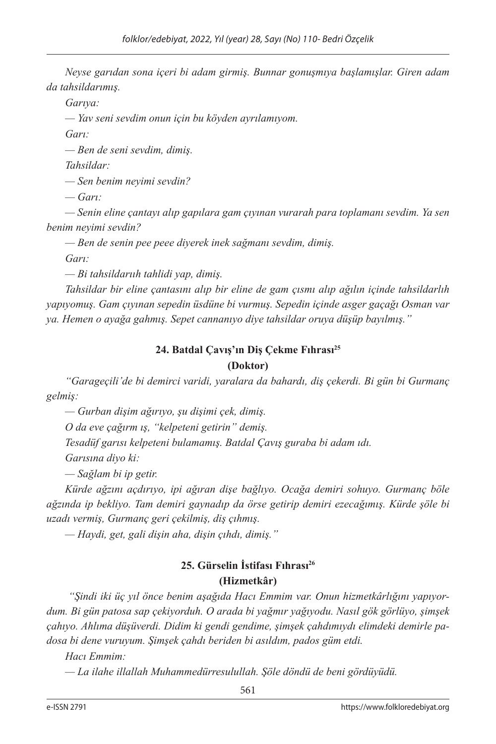*Neyse garıdan sona içeri bi adam girmiş. Bunnar gonuşmıya başlamışlar. Giren adam da tahsildarımış.*

*Garıya:*

*— Yav seni sevdim onun için bu köyden ayrılamıyom.*

*Garı:*

*— Ben de seni sevdim, dimiş.*

*Tahsildar:*

*— Sen benim neyimi sevdin?*

*— Garı:*

*— Senin eline çantayı alıp gapılara gam çıyınan vurarah para toplamanı sevdim. Ya sen benim neyimi sevdin?*

*— Ben de senin pee peee diyerek inek sağmanı sevdim, dimiş.*

*Garı:*

*— Bi tahsildarııh tahlidi yap, dimiş.*

*Tahsildar bir eline çantasını alıp bir eline de gam çısmı alıp ağılın içinde tahsildarlıh yapıyomuş. Gam çıyınan sepedin üsdüne bi vurmuş. Sepedin içinde asger gaçağı Osman var ya. Hemen o ayağa gahmış. Sepet cannanıyo diye tahsildar oruya düşüp bayılmış."*

#### **24. Batdal Çavış'ın Diş Çekme Fıhrası<sup>25</sup> (Doktor)**

*"Garageçili'de bi demirci varidi, yaralara da bahardı, diş çekerdi. Bi gün bi Gurmanç gelmiş:*

*— Gurban dişim ağırıyo, şu dişimi çek, dimiş.*

*O da eve çağırm ış, "kelpeteni getirin" demiş.*

*Tesadüf garısı kelpeteni bulamamış. Batdal Çavış guraba bi adam ıdı.*

*Garısına diyo ki:*

*— Sağlam bi ip getir.*

*Kürde ağzını açdırıyo, ipi ağıran dişe bağlıyo. Ocağa demiri sohuyo. Gurmanç böle ağzında ip bekliyo. Tam demiri gaynadıp da örse getirip demiri ezecağımış. Kürde şöle bi uzadı vermiş, Gurmanç geri çekilmiş, diş çıhmış.*

*— Haydi, get, gali dişin aha, dişin çıhdı, dimiş."*

# **25. Gürselin İstifası Fıhrası26 (Hizmetkâr)**

 *"Şindi iki üç yıl önce benim aşağıda Hacı Emmim var. Onun hizmetkârlığını yapıyordum. Bi gün patosa sap çekiyorduh. O arada bi yağmır yağıyodu. Nasıl gök görlüyo, şimşek çahıyo. Ahlıma düşüverdi. Didim ki gendi gendime, şimşek çahdımıydı elimdeki demirle padosa bi dene vuruyum. Şimşek çahdı beriden bi asıldım, pados güm etdi.*

*Hacı Emmim:*

*— La ilahe illallah Muhammedürresulullah. Şöle döndü de beni gördüyüdü.*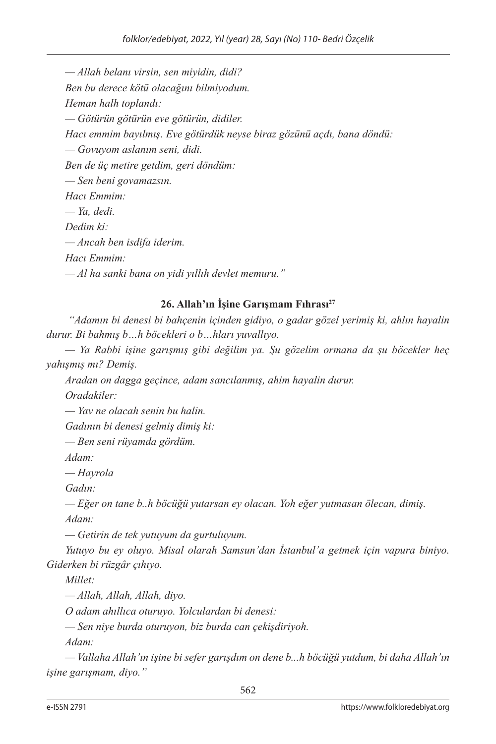*— Allah belanı virsin, sen miyidin, didi? Ben bu derece kötü olacağını bilmiyodum. Heman halh toplandı: — Götürün götürün eve götürün, didiler. Hacı emmim bayılmış. Eve götürdük neyse biraz gözünü açdı, bana döndü: — Govuyom aslanım seni, didi. Ben de üç metire getdim, geri döndüm: — Sen beni govamazsın. Hacı Emmim: — Ya, dedi. Dedim ki: — Ancah ben isdifa iderim. Hacı Emmim: — Al ha sanki bana on yidi yıllıh devlet memuru."*

## **26. Allah'ın İşine Garışmam Fıhrası27**

 *"Adamın bi denesi bi bahçenin içinden gidiyo, o gadar gözel yerimiş ki, ahlın hayalin durur. Bi bahmış b…h böcekleri o b…hları yuvallıyo.*

*— Ya Rabbi işine garışmış gibi değilim ya. Şu gözelim ormana da şu böcekler heç yahışmış mı? Demiş.*

*Aradan on dagga geçince, adam sancılanmış, ahim hayalin durur.*

*Oradakiler:*

*— Yav ne olacah senin bu halin.*

*Gadının bi denesi gelmiş dimiş ki:*

*— Ben seni rüyamda gördüm.*

*Adam:*

*— Hayrola*

*Gadın:*

*— Eğer on tane b..h böcüğü yutarsan ey olacan. Yoh eğer yutmasan ölecan, dimiş. Adam:*

*— Getirin de tek yutuyum da gurtuluyum.*

*Yutuyo bu ey oluyo. Misal olarah Samsun'dan İstanbul'a getmek için vapura biniyo. Giderken bi rüzgâr çıhıyo.*

*Millet:*

*— Allah, Allah, Allah, diyo.*

*O adam ahıllıca oturuyo. Yolculardan bi denesi:*

*— Sen niye burda oturuyon, biz burda can çekişdiriyoh.*

*Adam:*

*— Vallaha Allah'ın işine bi sefer garışdım on dene b...h böcüğü yutdum, bi daha Allah'ın işine garışmam, diyo."*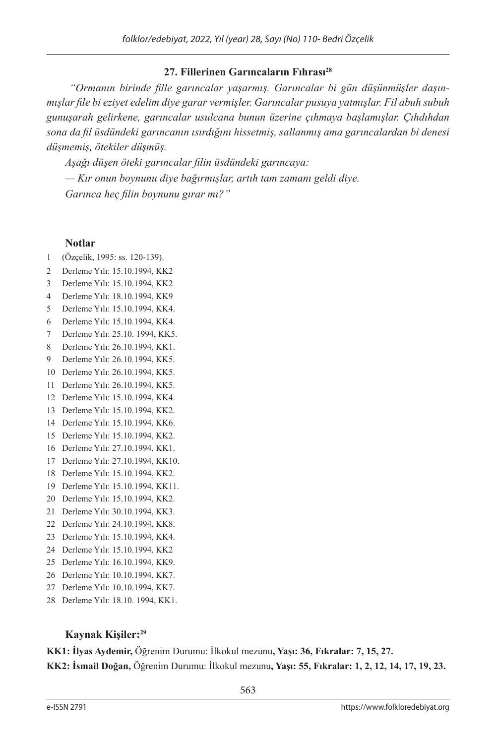#### **27. Fillerinen Garıncaların Fıhrası28**

 *"Ormanın birinde fille garıncalar yaşarmış. Garıncalar bi gün düşünmüşler daşınmışlar file bi eziyet edelim diye garar vermişler. Garıncalar pusuya yatmışlar. Fil abuh subuh gunuşarah gelirkene, garıncalar usulcana bunun üzerine çıhmaya başlamışlar. Çıhdıhdan sona da fil üsdündeki garıncanın ısırdığını hissetmiş, sallanmış ama garıncalardan bi denesi düşmemiş, ötekiler düşmüş.*

*Aşağı düşen öteki garıncalar filin üsdündeki garıncaya:*

*— Kır onun boynunu diye bağırmışlar, artıh tam zamanı geldi diye. Garınca heç filin boynunu gırar mı?"*

#### **Notlar**

- 1 (Özçelik, 1995: ss. 120-139).
- 2 Derleme Yılı: 15.10.1994, KK2
- 3 Derleme Yılı: 15.10.1994, KK2
- 4 Derleme Yılı: 18.10.1994, KK9
- 5 Derleme Yılı: 15.10.1994, KK4.
- 6 Derleme Yılı: 15.10.1994, KK4.
- 7 Derleme Yılı: 25.10. 1994, KK5.
- 8 Derleme Yılı: 26.10.1994, KK1.
- 9 Derleme Yılı: 26.10.1994, KK5.
- 10 Derleme Yılı: 26.10.1994, KK5.
- 11 Derleme Yılı: 26.10.1994, KK5.
- 12 Derleme Yılı: 15.10.1994, KK4.
- 13 Derleme Yılı: 15.10.1994, KK2.
- 14 Derleme Yılı: 15.10.1994, KK6.
- 15 Derleme Yılı: 15.10.1994, KK2.
- 16 Derleme Yılı: 27.10.1994, KK1.
- 17 Derleme Yılı: 27.10.1994, KK10.
- 18 Derleme Yılı: 15.10.1994, KK2.
- 19 Derleme Yılı: 15.10.1994, KK11.
- 20 Derleme Yılı: 15.10.1994, KK2.
- 21 Derleme Yılı: 30.10.1994, KK3.
- 22 Derleme Yılı: 24.10.1994, KK8.
- 23 Derleme Yılı: 15.10.1994, KK4.
- 24 Derleme Yılı: 15.10.1994, KK2
- 25 Derleme Yılı: 16.10.1994, KK9.
- 26 Derleme Yılı: 10.10.1994, KK7.
- 27 Derleme Yılı: 10.10.1994, KK7.
- 28 Derleme Yılı: 18.10. 1994, KK1.

#### **Kaynak Kişiler:29**

**KK1: İlyas Aydemir,** Öğrenim Durumu: İlkokul mezunu**, Yaşı: 36, Fıkralar: 7, 15, 27.** 

**KK2: İsmail Doğan,** Öğrenim Durumu: İlkokul mezunu**, Yaşı: 55, Fıkralar: 1, 2, 12, 14, 17, 19, 23.**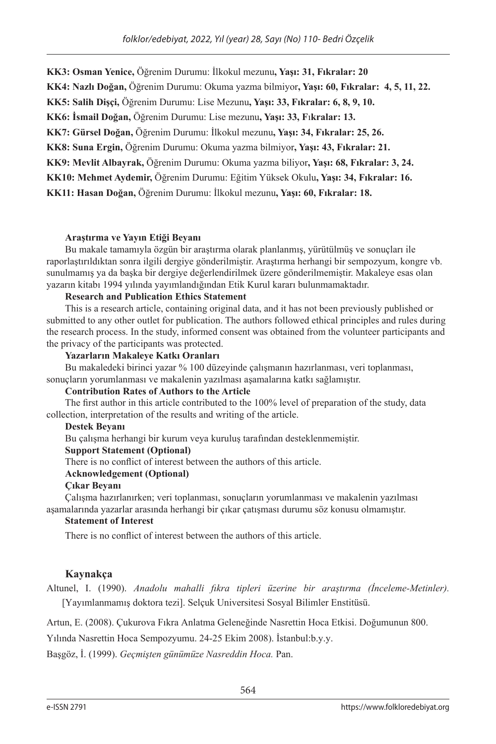**KK3: Osman Yenice,** Öğrenim Durumu: İlkokul mezunu**, Yaşı: 31, Fıkralar: 20** 

**KK4: Nazlı Doğan,** Öğrenim Durumu: Okuma yazma bilmiyor**, Yaşı: 60, Fıkralar: 4, 5, 11, 22.**

**KK5: Salih Dişçi,** Öğrenim Durumu: Lise Mezunu**, Yaşı: 33, Fıkralar: 6, 8, 9, 10.**

**KK6: İsmail Doğan,** Öğrenim Durumu: Lise mezunu**, Yaşı: 33, F**ı**kralar: 13.** 

**KK7: Gürsel Doğan,** Öğrenim Durumu: İlkokul mezunu**, Yaşı: 34, Fıkralar: 25, 26.**

**KK8: Suna Ergin,** Öğrenim Durumu: Okuma yazma bilmiyor**, Yaşı: 43, Fıkralar: 21.**

**KK9: Mevlit Albayrak,** Öğrenim Durumu: Okuma yazma biliyor**, Yaşı: 68, Fıkralar: 3, 24.**

**KK10: Mehmet Aydemir,** Öğrenim Durumu: Eğitim Yüksek Okulu**, Yaşı: 34, Fıkralar: 16.** 

**KK11: Hasan Doğan,** Öğrenim Durumu: İlkokul mezunu**, Yaşı: 60, Fıkralar: 18.**

#### **Araştırma ve Yayın Etiği Beyanı**

Bu makale tamamıyla özgün bir araştırma olarak planlanmış, yürütülmüş ve sonuçları ile raporlaştırıldıktan sonra ilgili dergiye gönderilmiştir. Araştırma herhangi bir sempozyum, kongre vb. sunulmamış ya da başka bir dergiye değerlendirilmek üzere gönderilmemiştir. Makaleye esas olan yazarın kitabı 1994 yılında yayımlandığından Etik Kurul kararı bulunmamaktadır.

#### **Research and Publication Ethics Statement**

This is a research article, containing original data, and it has not been previously published or submitted to any other outlet for publication. The authors followed ethical principles and rules during the research process. In the study, informed consent was obtained from the volunteer participants and the privacy of the participants was protected.

#### **Yazarların Makaleye Katkı Oranları**

Bu makaledeki birinci yazar % 100 düzeyinde çalışmanın hazırlanması, veri toplanması, sonuçların yorumlanması ve makalenin yazılması aşamalarına katkı sağlamıştır.

#### **Contribution Rates of Authors to the Article**

The first author in this article contributed to the 100% level of preparation of the study, data collection, interpretation of the results and writing of the article.

#### **Destek Beyanı**

Bu çalışma herhangi bir kurum veya kuruluş tarafından desteklenmemiştir.

#### **Support Statement (Optional)**

There is no conflict of interest between the authors of this article.

#### **Acknowledgement (Optional)**

#### **Çıkar Beyanı**

Çalışma hazırlanırken; veri toplanması, sonuçların yorumlanması ve makalenin yazılması aşamalarında yazarlar arasında herhangi bir çıkar çatışması durumu söz konusu olmamıştır.

#### **Statement of Interest**

There is no conflict of interest between the authors of this article.

#### **Kaynakça**

Altunel, I. (1990). *Anadolu mahalli fıkra tipleri üzerine bir araştırma (İnceleme-Metinler).* [Yayımlanmamış doktora tezi]. Selçuk Universitesi Sosyal Bilimler Enstitüsü.

Artun, E. (2008). Çukurova Fıkra Anlatma Geleneğinde Nasrettin Hoca Etkisi. Doğumunun 800.

Yılında Nasrettin Hoca Sempozyumu. 24-25 Ekim 2008). İstanbul:b.y.y.

Başgöz, İ. (1999). *Geçmişten günümüze Nasreddin Hoca.* Pan.